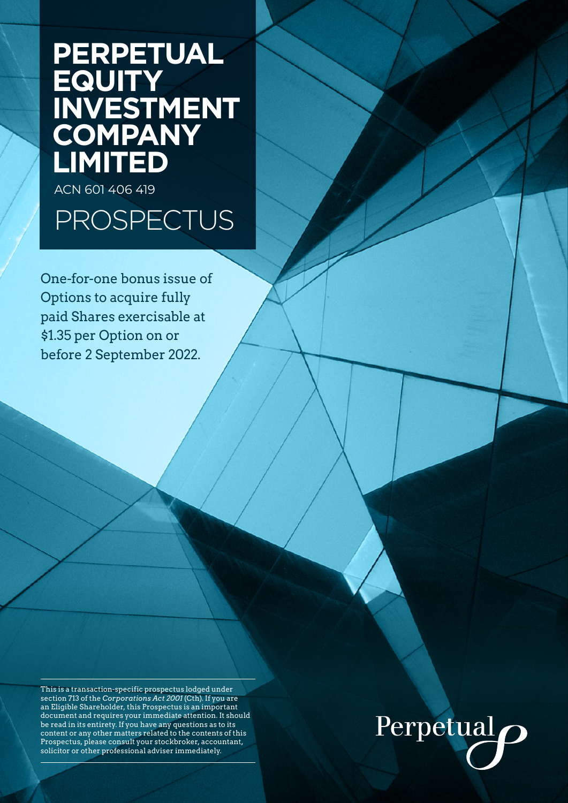# **PERPETUAL EQUITY INVESTMENT COMPANY LIMITED**

ACN 601 406 419

# PROSPECTUS

One-for-one bonus issue of Options to acquire fully paid Shares exercisable at \$1.35 per Option on or before 2 September 2022.

This is a transaction-specific prospectus lodged under section 713 of the *Corporations Act 2001* (Cth). If you are an Eligible Shareholder, this Prospectus is an important document and requires your immediate attention. It should be read in its entirety. If you have any questions as to its content or any other matters related to the contents of this Prospectus, please consult your stockbroker, accountant, solicitor or other professional adviser immediately.

# Perpetual<sub>O</sub>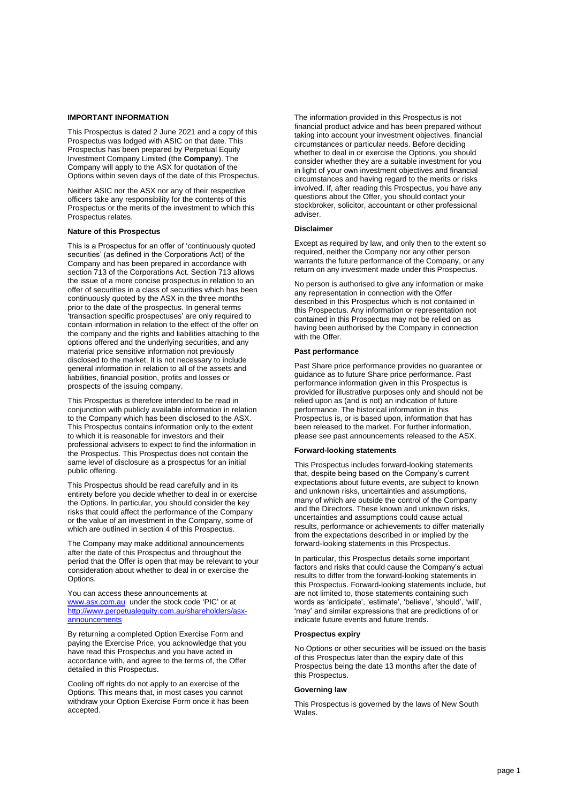#### **IMPORTANT INFORMATION**

This Prospectus is dated 2 June 2021 and a copy of this Prospectus was lodged with ASIC on that date. This Prospectus has been prepared by Perpetual Equity Investment Company Limited (the **Company**). The Company will apply to the ASX for quotation of the Options within seven days of the date of this Prospectus.

Neither ASIC nor the ASX nor any of their respective officers take any responsibility for the contents of this Prospectus or the merits of the investment to which this Prospectus relates.

#### **Nature of this Prospectus**

This is a Prospectus for an offer of 'continuously quoted securities' (as defined in the Corporations Act) of the Company and has been prepared in accordance with section 713 of the Corporations Act. Section 713 allows the issue of a more concise prospectus in relation to an offer of securities in a class of securities which has been continuously quoted by the ASX in the three months prior to the date of the prospectus. In general terms 'transaction specific prospectuses' are only required to contain information in relation to the effect of the offer on the company and the rights and liabilities attaching to the options offered and the underlying securities, and any material price sensitive information not previously disclosed to the market. It is not necessary to include general information in relation to all of the assets and liabilities, financial position, profits and losses or prospects of the issuing company.

This Prospectus is therefore intended to be read in conjunction with publicly available information in relation to the Company which has been disclosed to the ASX. This Prospectus contains information only to the extent to which it is reasonable for investors and their professional advisers to expect to find the information in the Prospectus. This Prospectus does not contain the same level of disclosure as a prospectus for an initial public offering.

This Prospectus should be read carefully and in its entirety before you decide whether to deal in or exercise the Options. In particular, you should consider the key risks that could affect the performance of the Company or the value of an investment in the Company, some of which are outlined in section [4](#page-21-0) of this Prospectus.

The Company may make additional announcements after the date of this Prospectus and throughout the period that the Offer is open that may be relevant to your consideration about whether to deal in or exercise the Options.

You can access these announcements at [www.asx.com.au](http://www.asx.com.au/) under the stock code 'PIC' or at [http://www.perpetualequity.com.au/shareholders/asx](http://www.perpetualequity.com.au/shareholders/asx-announcements)**[announcements](http://www.perpetualequity.com.au/shareholders/asx-announcements)** 

By returning a completed Option Exercise Form and paying the Exercise Price, you acknowledge that you have read this Prospectus and you have acted in accordance with, and agree to the terms of, the Offer detailed in this Prospectus.

Cooling off rights do not apply to an exercise of the Options. This means that, in most cases you cannot withdraw your Option Exercise Form once it has been accepted.

The information provided in this Prospectus is not financial product advice and has been prepared without taking into account your investment objectives, financial circumstances or particular needs. Before deciding whether to deal in or exercise the Options, you should consider whether they are a suitable investment for you in light of your own investment objectives and financial circumstances and having regard to the merits or risks involved. If, after reading this Prospectus, you have any questions about the Offer, you should contact your stockbroker, solicitor, accountant or other professional adviser.

#### **Disclaimer**

Except as required by law, and only then to the extent so required, neither the Company nor any other person warrants the future performance of the Company, or any return on any investment made under this Prospectus.

No person is authorised to give any information or make any representation in connection with the Offer described in this Prospectus which is not contained in this Prospectus. Any information or representation not contained in this Prospectus may not be relied on as having been authorised by the Company in connection with the Offer.

#### **Past performance**

Past Share price performance provides no guarantee or guidance as to future Share price performance. Past performance information given in this Prospectus is provided for illustrative purposes only and should not be relied upon as (and is not) an indication of future performance. The historical information in this Prospectus is, or is based upon, information that has been released to the market. For further information, please see past announcements released to the ASX.

#### **Forward-looking statements**

This Prospectus includes forward-looking statements that, despite being based on the Company's current expectations about future events, are subject to known and unknown risks, uncertainties and assumptions, many of which are outside the control of the Company and the Directors. These known and unknown risks, uncertainties and assumptions could cause actual results, performance or achievements to differ materially from the expectations described in or implied by the forward-looking statements in this Prospectus.

In particular, this Prospectus details some important factors and risks that could cause the Company's actual results to differ from the forward-looking statements in this Prospectus. Forward-looking statements include, but are not limited to, those statements containing such words as 'anticipate', 'estimate', 'believe', 'should', 'will', 'may' and similar expressions that are predictions of or indicate future events and future trends.

#### **Prospectus expiry**

No Options or other securities will be issued on the basis of this Prospectus later than the expiry date of this Prospectus being the date 13 months after the date of this Prospectus.

#### **Governing law**

This Prospectus is governed by the laws of New South Wales.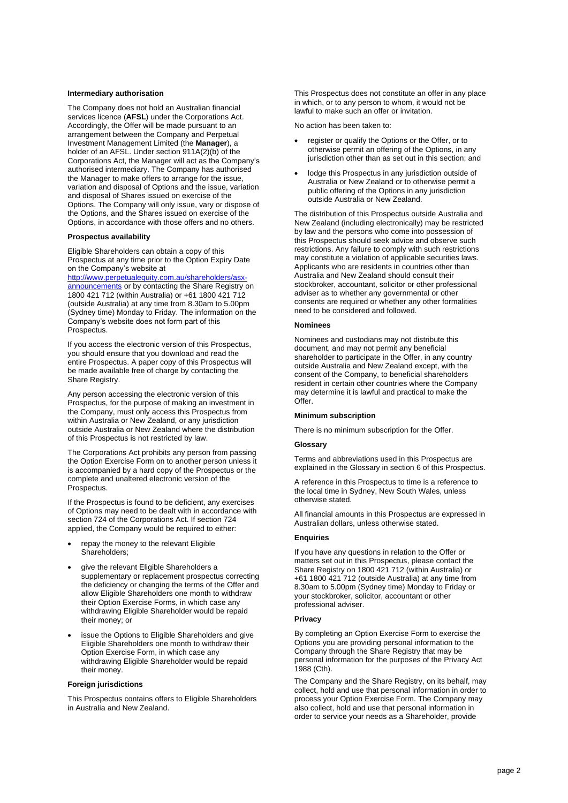#### **Intermediary authorisation**

The Company does not hold an Australian financial services licence (**AFSL**) under the Corporations Act. Accordingly, the Offer will be made pursuant to an arrangement between the Company and Perpetual Investment Management Limited (the **Manager**), a holder of an AFSL. Under section 911A(2)(b) of the Corporations Act, the Manager will act as the Company's authorised intermediary. The Company has authorised the Manager to make offers to arrange for the issue, variation and disposal of Options and the issue, variation and disposal of Shares issued on exercise of the Options. The Company will only issue, vary or dispose of the Options, and the Shares issued on exercise of the Options, in accordance with those offers and no others.

#### **Prospectus availability**

Eligible Shareholders can obtain a copy of this Prospectus at any time prior to the Option Expiry Date on the Company's website at

[http://www.perpetualequity.com.au/shareholders/asx](http://www.perpetualequity.com.au/shareholders/asx-announcements)[announcements](http://www.perpetualequity.com.au/shareholders/asx-announcements) or by contacting the Share Registry on 1800 421 712 (within Australia) or +61 1800 421 712 (outside Australia) at any time from 8.30am to 5.00pm (Sydney time) Monday to Friday. The information on the Company's website does not form part of this Prospectus.

If you access the electronic version of this Prospectus, you should ensure that you download and read the entire Prospectus. A paper copy of this Prospectus will be made available free of charge by contacting the Share Registry.

Any person accessing the electronic version of this Prospectus, for the purpose of making an investment in the Company, must only access this Prospectus from within Australia or New Zealand, or any jurisdiction outside Australia or New Zealand where the distribution of this Prospectus is not restricted by law.

The Corporations Act prohibits any person from passing the Option Exercise Form on to another person unless it is accompanied by a hard copy of the Prospectus or the complete and unaltered electronic version of the Prospectus.

If the Prospectus is found to be deficient, any exercises of Options may need to be dealt with in accordance with section 724 of the Corporations Act. If section 724 applied, the Company would be required to either:

- repay the money to the relevant Eligible Shareholders;
- give the relevant Eligible Shareholders a supplementary or replacement prospectus correcting the deficiency or changing the terms of the Offer and allow Eligible Shareholders one month to withdraw their Option Exercise Forms, in which case any withdrawing Eligible Shareholder would be repaid their money; or
- issue the Options to Eligible Shareholders and give Eligible Shareholders one month to withdraw their Option Exercise Form, in which case any withdrawing Eligible Shareholder would be repaid their money.

#### **Foreign jurisdictions**

This Prospectus contains offers to Eligible Shareholders in Australia and New Zealand.

This Prospectus does not constitute an offer in any place in which, or to any person to whom, it would not be lawful to make such an offer or invitation.

No action has been taken to:

- register or qualify the Options or the Offer, or to otherwise permit an offering of the Options, in any jurisdiction other than as set out in this section; and
- lodge this Prospectus in any jurisdiction outside of Australia or New Zealand or to otherwise permit a public offering of the Options in any jurisdiction outside Australia or New Zealand.

The distribution of this Prospectus outside Australia and New Zealand (including electronically) may be restricted by law and the persons who come into possession of this Prospectus should seek advice and observe such restrictions. Any failure to comply with such restrictions may constitute a violation of applicable securities laws. Applicants who are residents in countries other than Australia and New Zealand should consult their stockbroker, accountant, solicitor or other professional adviser as to whether any governmental or other consents are required or whether any other formalities need to be considered and followed.

#### **Nominees**

Nominees and custodians may not distribute this document, and may not permit any beneficial shareholder to participate in the Offer, in any country outside Australia and New Zealand except, with the consent of the Company, to beneficial shareholders resident in certain other countries where the Company may determine it is lawful and practical to make the Offer.

#### **Minimum subscription**

There is no minimum subscription for the Offer.

#### **Glossary**

Terms and abbreviations used in this Prospectus are explained in the Glossary in section [6](#page-32-0) of this Prospectus.

A reference in this Prospectus to time is a reference to the local time in Sydney, New South Wales, unless otherwise stated.

All financial amounts in this Prospectus are expressed in Australian dollars, unless otherwise stated.

#### **Enquiries**

If you have any questions in relation to the Offer or matters set out in this Prospectus, please contact the Share Registry on 1800 421 712 (within Australia) or +61 1800 421 712 (outside Australia) at any time from 8.30am to 5.00pm (Sydney time) Monday to Friday or your stockbroker, solicitor, accountant or other professional adviser.

#### **Privacy**

By completing an Option Exercise Form to exercise the Options you are providing personal information to the Company through the Share Registry that may be personal information for the purposes of the Privacy Act 1988 (Cth).

The Company and the Share Registry, on its behalf, may collect, hold and use that personal information in order to process your Option Exercise Form. The Company may also collect, hold and use that personal information in order to service your needs as a Shareholder, provide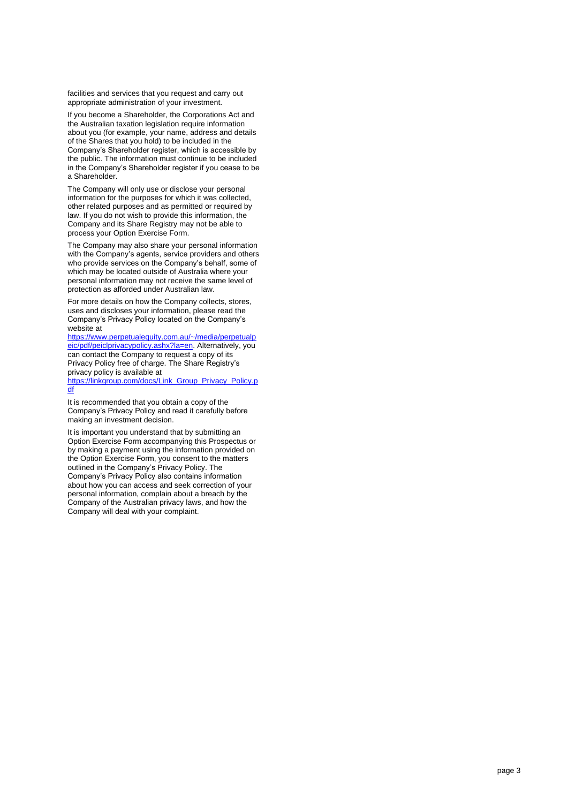facilities and services that you request and carry out appropriate administration of your investment.

If you become a Shareholder, the Corporations Act and the Australian taxation legislation require information about you (for example, your name, address and details of the Shares that you hold) to be included in the Company's Shareholder register, which is accessible by the public. The information must continue to be included in the Company's Shareholder register if you cease to be a Shareholder.

The Company will only use or disclose your personal information for the purposes for which it was collected, other related purposes and as permitted or required by law. If you do not wish to provide this information, the Company and its Share Registry may not be able to process your Option Exercise Form .

The Company may also share your personal information with the Company's agents, service providers and others who provide services on the Company's behalf, some of which may be located outside of Australia where your personal information may not receive the same level of protection as afforded under Australian law.

For more details on how the Company collects, stores, uses and discloses your information, please read the Company's Privacy Policy located on the Company's website at

[https://www.perpetualequity.com.au/~/media/perpetualp](https://www.perpetualequity.com.au/~/media/perpetualpeic/pdf/peiclprivacypolicy.ashx?la=en) [eic/pdf/peiclprivacypolicy.ashx?la=en.](https://www.perpetualequity.com.au/~/media/perpetualpeic/pdf/peiclprivacypolicy.ashx?la=en) Alternatively, you can contact the Company to request a copy of its Privacy Policy free of charge. The Share Registry's privacy policy is available at

[https://linkgroup.com/docs/Link\\_Group\\_Privacy\\_Policy.p](https://linkgroup.com/docs/Link_Group_Privacy_Policy.pdf) [df](https://linkgroup.com/docs/Link_Group_Privacy_Policy.pdf)

It is recommended that you obtain a copy of the Company's Privacy Policy and read it carefully before making an investment decision.

It is important you understand that by submitting an Option Exercise Form accompanying this Prospectus or by making a payment using the information provided on the Option Exercise Form, you consent to the matters outlined in the Company's Privacy Policy . The Company's Privacy Policy also contains information about how you can access and seek correction of your personal information, complain about a breach by the Company of the Australian privacy laws, and how the Company will deal with your complaint.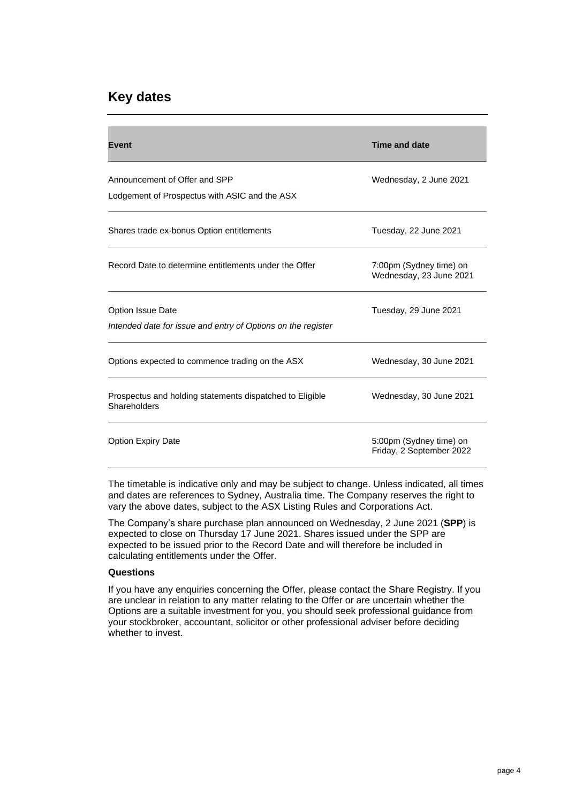# **Key dates**

| <b>Event</b>                                                                      | <b>Time and date</b>                                |
|-----------------------------------------------------------------------------------|-----------------------------------------------------|
| Announcement of Offer and SPP<br>Lodgement of Prospectus with ASIC and the ASX    | Wednesday, 2 June 2021                              |
| Shares trade ex-bonus Option entitlements                                         | Tuesday, 22 June 2021                               |
| Record Date to determine entitlements under the Offer                             | 7:00pm (Sydney time) on<br>Wednesday, 23 June 2021  |
| Option Issue Date<br>Intended date for issue and entry of Options on the register | Tuesday, 29 June 2021                               |
| Options expected to commence trading on the ASX                                   | Wednesday, 30 June 2021                             |
| Prospectus and holding statements dispatched to Eligible<br>Shareholders          | Wednesday, 30 June 2021                             |
| <b>Option Expiry Date</b>                                                         | 5:00pm (Sydney time) on<br>Friday, 2 September 2022 |

The timetable is indicative only and may be subject to change. Unless indicated, all times and dates are references to Sydney, Australia time. The Company reserves the right to vary the above dates, subject to the ASX Listing Rules and Corporations Act.

The Company's share purchase plan announced on Wednesday, 2 June 2021 (**SPP**) is expected to close on Thursday 17 June 2021. Shares issued under the SPP are expected to be issued prior to the Record Date and will therefore be included in calculating entitlements under the Offer.

#### **Questions**

If you have any enquiries concerning the Offer, please contact the Share Registry. If you are unclear in relation to any matter relating to the Offer or are uncertain whether the Options are a suitable investment for you, you should seek professional guidance from your stockbroker, accountant, solicitor or other professional adviser before deciding whether to invest.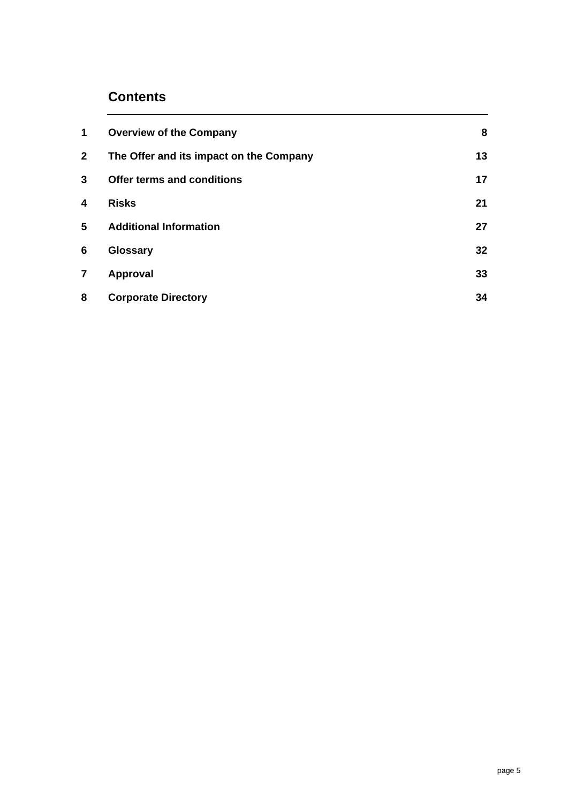# **Contents**

| 1              | <b>Overview of the Company</b>          | 8  |
|----------------|-----------------------------------------|----|
| $\mathbf{2}$   | The Offer and its impact on the Company | 13 |
| 3              | Offer terms and conditions              | 17 |
| 4              | <b>Risks</b>                            | 21 |
| 5              | <b>Additional Information</b>           | 27 |
| 6              | <b>Glossary</b>                         | 32 |
| $\overline{7}$ | Approval                                | 33 |
| 8              | <b>Corporate Directory</b>              | 34 |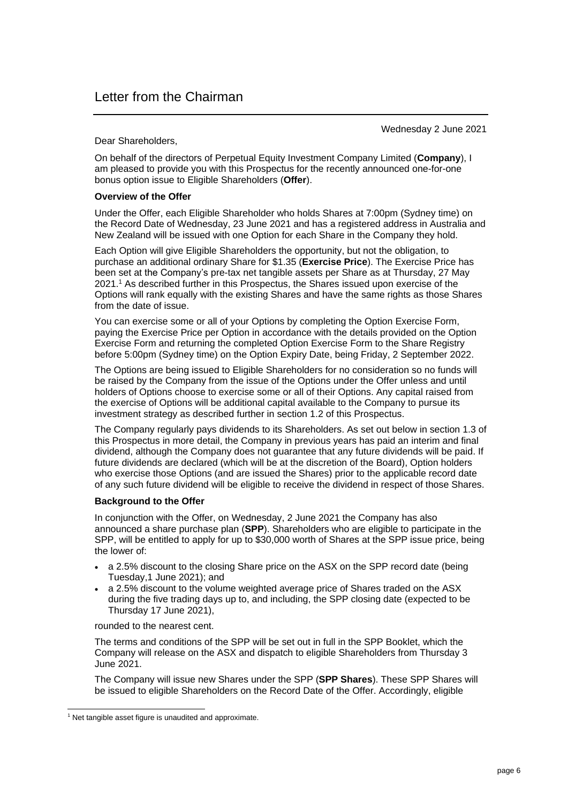Wednesday 2 June 2021

Dear Shareholders,

On behalf of the directors of Perpetual Equity Investment Company Limited (**Company**), I am pleased to provide you with this Prospectus for the recently announced one-for-one bonus option issue to Eligible Shareholders (**Offer**).

#### **Overview of the Offer**

Under the Offer, each Eligible Shareholder who holds Shares at 7:00pm (Sydney time) on the Record Date of Wednesday, 23 June 2021 and has a registered address in Australia and New Zealand will be issued with one Option for each Share in the Company they hold.

Each Option will give Eligible Shareholders the opportunity, but not the obligation, to purchase an additional ordinary Share for \$1.35 (**Exercise Price**). The Exercise Price has been set at the Company's pre-tax net tangible assets per Share as at Thursday, 27 May 2021.<sup>1</sup> As described further in this Prospectus, the Shares issued upon exercise of the Options will rank equally with the existing Shares and have the same rights as those Shares from the date of issue.

You can exercise some or all of your Options by completing the Option Exercise Form, paying the Exercise Price per Option in accordance with the details provided on the Option Exercise Form and returning the completed Option Exercise Form to the Share Registry before 5:00pm (Sydney time) on the Option Expiry Date, being Friday, 2 September 2022.

The Options are being issued to Eligible Shareholders for no consideration so no funds will be raised by the Company from the issue of the Options under the Offer unless and until holders of Options choose to exercise some or all of their Options. Any capital raised from the exercise of Options will be additional capital available to the Company to pursue its investment strategy as described further in section [1.2](#page-8-1) of this Prospectus.

The Company regularly pays dividends to its Shareholders. As set out below in section [1.3](#page-9-0) of this Prospectus in more detail, the Company in previous years has paid an interim and final dividend, although the Company does not guarantee that any future dividends will be paid. If future dividends are declared (which will be at the discretion of the Board), Option holders who exercise those Options (and are issued the Shares) prior to the applicable record date of any such future dividend will be eligible to receive the dividend in respect of those Shares.

#### **Background to the Offer**

In conjunction with the Offer, on Wednesday, 2 June 2021 the Company has also announced a share purchase plan (**SPP**). Shareholders who are eligible to participate in the SPP, will be entitled to apply for up to \$30,000 worth of Shares at the SPP issue price, being the lower of:

- a 2.5% discount to the closing Share price on the ASX on the SPP record date (being Tuesday,1 June 2021); and
- a 2.5% discount to the volume weighted average price of Shares traded on the ASX during the five trading days up to, and including, the SPP closing date (expected to be Thursday 17 June 2021),

rounded to the nearest cent.

The terms and conditions of the SPP will be set out in full in the SPP Booklet, which the Company will release on the ASX and dispatch to eligible Shareholders from Thursday 3 June 2021.

The Company will issue new Shares under the SPP (**SPP Shares**). These SPP Shares will be issued to eligible Shareholders on the Record Date of the Offer. Accordingly, eligible

<sup>&</sup>lt;sup>1</sup> Net tangible asset figure is unaudited and approximate.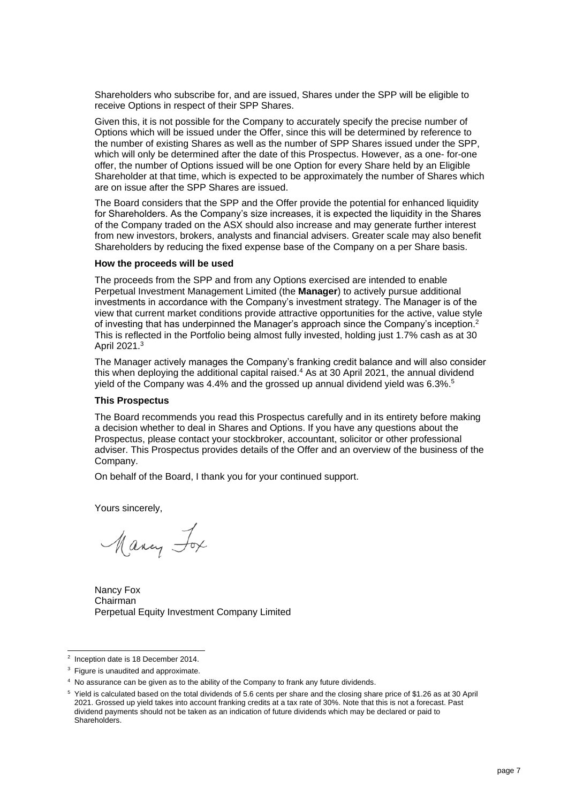Shareholders who subscribe for, and are issued, Shares under the SPP will be eligible to receive Options in respect of their SPP Shares.

Given this, it is not possible for the Company to accurately specify the precise number of Options which will be issued under the Offer, since this will be determined by reference to the number of existing Shares as well as the number of SPP Shares issued under the SPP, which will only be determined after the date of this Prospectus. However, as a one- for-one offer, the number of Options issued will be one Option for every Share held by an Eligible Shareholder at that time, which is expected to be approximately the number of Shares which are on issue after the SPP Shares are issued.

The Board considers that the SPP and the Offer provide the potential for enhanced liquidity for Shareholders. As the Company's size increases, it is expected the liquidity in the Shares of the Company traded on the ASX should also increase and may generate further interest from new investors, brokers, analysts and financial advisers. Greater scale may also benefit Shareholders by reducing the fixed expense base of the Company on a per Share basis.

#### **How the proceeds will be used**

The proceeds from the SPP and from any Options exercised are intended to enable Perpetual Investment Management Limited (the **Manager**) to actively pursue additional investments in accordance with the Company's investment strategy. The Manager is of the view that current market conditions provide attractive opportunities for the active, value style of investing that has underpinned the Manager's approach since the Company's inception.<sup>2</sup> This is reflected in the Portfolio being almost fully invested, holding just 1.7% cash as at 30 April 2021. 3

The Manager actively manages the Company's franking credit balance and will also consider this when deploying the additional capital raised.<sup>4</sup> As at 30 April 2021, the annual dividend yield of the Company was 4.4% and the grossed up annual dividend yield was 6.3%. 5

#### **This Prospectus**

The Board recommends you read this Prospectus carefully and in its entirety before making a decision whether to deal in Shares and Options. If you have any questions about the Prospectus, please contact your stockbroker, accountant, solicitor or other professional adviser. This Prospectus provides details of the Offer and an overview of the business of the Company.

On behalf of the Board, I thank you for your continued support.

Yours sincerely,

Many Fox

Nancy Fox Chairman Perpetual Equity Investment Company Limited

<sup>&</sup>lt;sup>2</sup> Inception date is 18 December 2014.

<sup>&</sup>lt;sup>3</sup> Figure is unaudited and approximate.

<sup>4</sup> No assurance can be given as to the ability of the Company to frank any future dividends.

<sup>5</sup> Yield is calculated based on the total dividends of 5.6 cents per share and the closing share price of \$1.26 as at 30 April 2021. Grossed up yield takes into account franking credits at a tax rate of 30%. Note that this is not a forecast. Past dividend payments should not be taken as an indication of future dividends which may be declared or paid to Shareholders.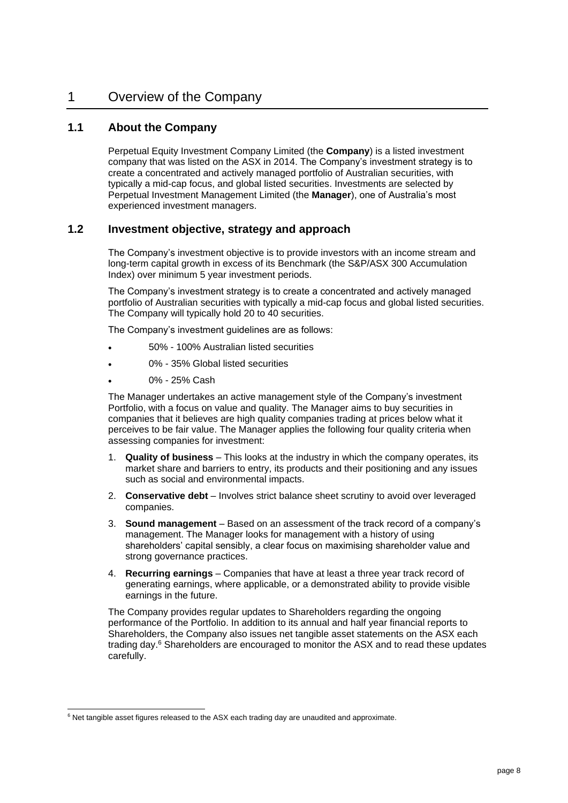# <span id="page-8-0"></span>1 Overview of the Company

#### **1.1 About the Company**

Perpetual Equity Investment Company Limited (the **Company**) is a listed investment company that was listed on the ASX in 2014. The Company's investment strategy is to create a concentrated and actively managed portfolio of Australian securities, with typically a mid-cap focus, and global listed securities. Investments are selected by Perpetual Investment Management Limited (the **Manager**), one of Australia's most experienced investment managers.

#### <span id="page-8-1"></span>**1.2 Investment objective, strategy and approach**

The Company's investment objective is to provide investors with an income stream and long-term capital growth in excess of its Benchmark (the S&P/ASX 300 Accumulation Index) over minimum 5 year investment periods.

The Company's investment strategy is to create a concentrated and actively managed portfolio of Australian securities with typically a mid-cap focus and global listed securities. The Company will typically hold 20 to 40 securities.

The Company's investment guidelines are as follows:

- 50% 100% Australian listed securities
- 0% 35% Global listed securities
- 0% 25% Cash

The Manager undertakes an active management style of the Company's investment Portfolio, with a focus on value and quality. The Manager aims to buy securities in companies that it believes are high quality companies trading at prices below what it perceives to be fair value. The Manager applies the following four quality criteria when assessing companies for investment:

- 1. **Quality of business** This looks at the industry in which the company operates, its market share and barriers to entry, its products and their positioning and any issues such as social and environmental impacts.
- 2. **Conservative debt** Involves strict balance sheet scrutiny to avoid over leveraged companies.
- 3. **Sound management** Based on an assessment of the track record of a company's management. The Manager looks for management with a history of using shareholders' capital sensibly, a clear focus on maximising shareholder value and strong governance practices.
- 4. **Recurring earnings**  Companies that have at least a three year track record of generating earnings, where applicable, or a demonstrated ability to provide visible earnings in the future.

The Company provides regular updates to Shareholders regarding the ongoing performance of the Portfolio. In addition to its annual and half year financial reports to Shareholders, the Company also issues net tangible asset statements on the ASX each trading day.<sup>6</sup> Shareholders are encouraged to monitor the ASX and to read these updates carefully.

<sup>&</sup>lt;sup>6</sup> Net tangible asset figures released to the ASX each trading day are unaudited and approximate.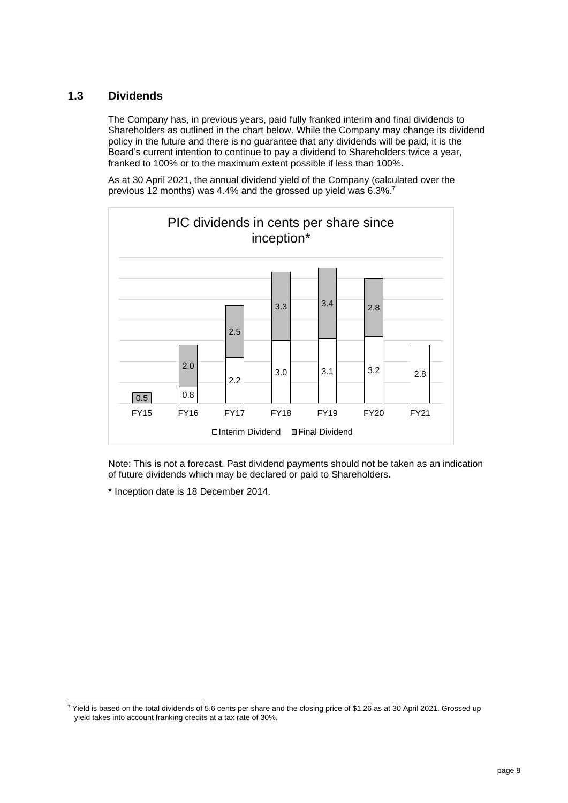## <span id="page-9-0"></span>**1.3 Dividends**

The Company has, in previous years, paid fully franked interim and final dividends to Shareholders as outlined in the chart below. While the Company may change its dividend policy in the future and there is no guarantee that any dividends will be paid, it is the Board's current intention to continue to pay a dividend to Shareholders twice a year, franked to 100% or to the maximum extent possible if less than 100%.

As at 30 April 2021, the annual dividend yield of the Company (calculated over the previous 12 months) was 4.4% and the grossed up yield was 6.3%.<sup>7</sup>



Note: This is not a forecast. Past dividend payments should not be taken as an indication of future dividends which may be declared or paid to Shareholders.

\* Inception date is 18 December 2014.

<sup>7</sup> Yield is based on the total dividends of 5.6 cents per share and the closing price of \$1.26 as at 30 April 2021. Grossed up yield takes into account franking credits at a tax rate of 30%.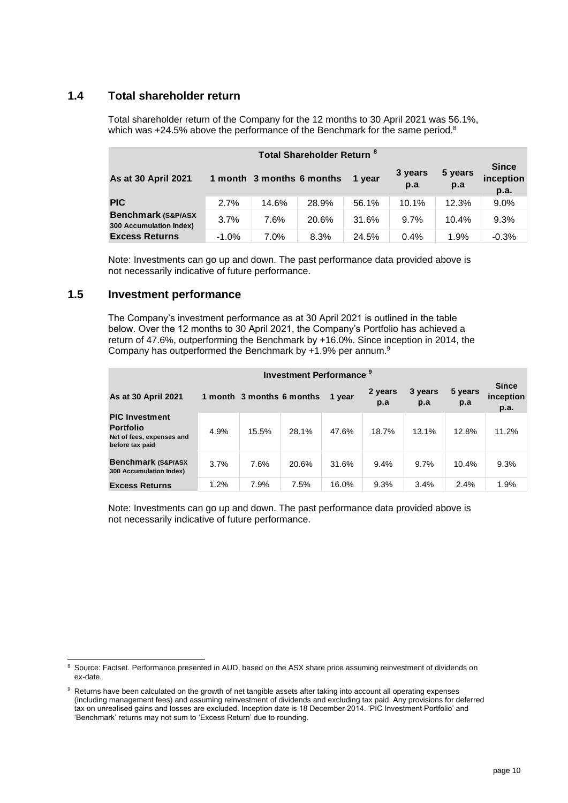# **1.4 Total shareholder return**

Total shareholder return of the Company for the 12 months to 30 April 2021 was 56.1%, which was  $+24.5\%$  above the performance of the Benchmark for the same period.<sup>8</sup>

| Total Shareholder Return <sup>8</sup>                     |          |                           |       |        |                |                |                                   |
|-----------------------------------------------------------|----------|---------------------------|-------|--------|----------------|----------------|-----------------------------------|
| As at 30 April 2021                                       |          | 1 month 3 months 6 months |       | 1 year | 3 years<br>p.a | 5 years<br>p.a | <b>Since</b><br>inception<br>p.a. |
| <b>PIC</b>                                                | 2.7%     | 14.6%                     | 28.9% | 56.1%  | 10.1%          | 12.3%          | 9.0%                              |
| <b>Benchmark (S&amp;P/ASX)</b><br>300 Accumulation Index) | 3.7%     | 7.6%                      | 20.6% | 31.6%  | 9.7%           | 10.4%          | 9.3%                              |
| <b>Excess Returns</b>                                     | $-1.0\%$ | $7.0\%$                   | 8.3%  | 24.5%  | 0.4%           | 1.9%           | $-0.3%$                           |

Note: Investments can go up and down. The past performance data provided above is not necessarily indicative of future performance.

#### **1.5 Investment performance**

The Company's investment performance as at 30 April 2021 is outlined in the table below. Over the 12 months to 30 April 2021, the Company's Portfolio has achieved a return of 47.6%, outperforming the Benchmark by +16.0%. Since inception in 2014, the Company has outperformed the Benchmark by +1.9% per annum.<sup>9</sup>

| <b>Investment Performance<sup>9</sup></b>                                                 |      |                           |       |        |                |                |                |                                   |
|-------------------------------------------------------------------------------------------|------|---------------------------|-------|--------|----------------|----------------|----------------|-----------------------------------|
| As at 30 April 2021                                                                       |      | 1 month 3 months 6 months |       | 1 year | 2 years<br>p.a | 3 years<br>p.a | 5 years<br>p.a | <b>Since</b><br>inception<br>p.a. |
| <b>PIC Investment</b><br><b>Portfolio</b><br>Net of fees, expenses and<br>before tax paid | 4.9% | 15.5%                     | 28.1% | 47.6%  | 18.7%          | 13.1%          | 12.8%          | 11.2%                             |
| <b>Benchmark (S&amp;P/ASX</b><br>300 Accumulation Index)                                  | 3.7% | 7.6%                      | 20.6% | 31.6%  | 9.4%           | 9.7%           | 10.4%          | 9.3%                              |
| <b>Excess Returns</b>                                                                     | 1.2% | 7.9%                      | 7.5%  | 16.0%  | 9.3%           | 3.4%           | 2.4%           | 1.9%                              |

Note: Investments can go up and down. The past performance data provided above is not necessarily indicative of future performance.

<sup>8</sup> Source: Factset. Performance presented in AUD, based on the ASX share price assuming reinvestment of dividends on ex-date.

<sup>9</sup> Returns have been calculated on the growth of net tangible assets after taking into account all operating expenses (including management fees) and assuming reinvestment of dividends and excluding tax paid. Any provisions for deferred tax on unrealised gains and losses are excluded. Inception date is 18 December 2014. 'PIC Investment Portfolio' and 'Benchmark' returns may not sum to 'Excess Return' due to rounding.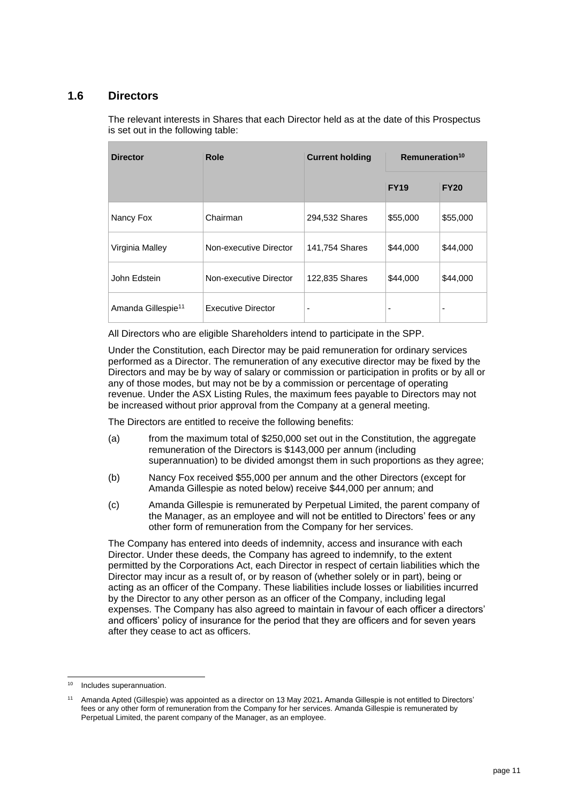#### **1.6 Directors**

The relevant interests in Shares that each Director held as at the date of this Prospectus is set out in the following table:

| <b>Director</b>                | Role                      | <b>Current holding</b>   | Remuneration <sup>10</sup> |             |
|--------------------------------|---------------------------|--------------------------|----------------------------|-------------|
|                                |                           |                          | <b>FY19</b>                | <b>FY20</b> |
| Nancy Fox                      | Chairman                  | 294,532 Shares           | \$55,000                   | \$55,000    |
| Virginia Malley                | Non-executive Director    | 141,754 Shares           | \$44,000                   | \$44,000    |
| John Edstein                   | Non-executive Director    | 122,835 Shares           | \$44,000                   | \$44,000    |
| Amanda Gillespie <sup>11</sup> | <b>Executive Director</b> | $\overline{\phantom{a}}$ | ٠                          | ۰           |

All Directors who are eligible Shareholders intend to participate in the SPP.

Under the Constitution, each Director may be paid remuneration for ordinary services performed as a Director. The remuneration of any executive director may be fixed by the Directors and may be by way of salary or commission or participation in profits or by all or any of those modes, but may not be by a commission or percentage of operating revenue. Under the ASX Listing Rules, the maximum fees payable to Directors may not be increased without prior approval from the Company at a general meeting.

The Directors are entitled to receive the following benefits:

- (a) from the maximum total of \$250,000 set out in the Constitution, the aggregate remuneration of the Directors is \$143,000 per annum (including superannuation) to be divided amongst them in such proportions as they agree;
- (b) Nancy Fox received \$55,000 per annum and the other Directors (except for Amanda Gillespie as noted below) receive \$44,000 per annum; and
- (c) Amanda Gillespie is remunerated by Perpetual Limited, the parent company of the Manager, as an employee and will not be entitled to Directors' fees or any other form of remuneration from the Company for her services.

The Company has entered into deeds of indemnity, access and insurance with each Director. Under these deeds, the Company has agreed to indemnify, to the extent permitted by the Corporations Act, each Director in respect of certain liabilities which the Director may incur as a result of, or by reason of (whether solely or in part), being or acting as an officer of the Company. These liabilities include losses or liabilities incurred by the Director to any other person as an officer of the Company, including legal expenses. The Company has also agreed to maintain in favour of each officer a directors' and officers' policy of insurance for the period that they are officers and for seven years after they cease to act as officers.

<sup>10</sup> Includes superannuation.

<sup>11</sup> Amanda Apted (Gillespie) was appointed as a director on 13 May 2021**.** Amanda Gillespie is not entitled to Directors' fees or any other form of remuneration from the Company for her services. Amanda Gillespie is remunerated by Perpetual Limited, the parent company of the Manager, as an employee.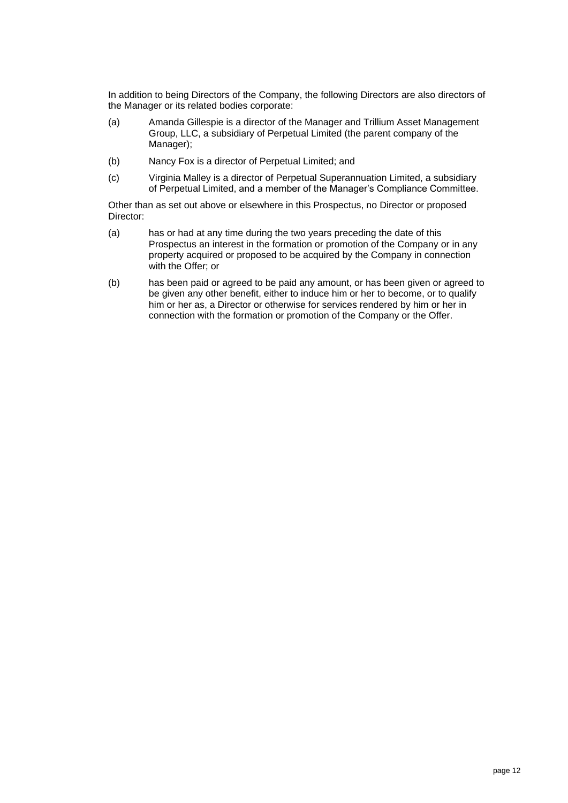In addition to being Directors of the Company, the following Directors are also directors of the Manager or its related bodies corporate:

- (a) Amanda Gillespie is a director of the Manager and Trillium Asset Management Group, LLC, a subsidiary of Perpetual Limited (the parent company of the Manager);
- (b) Nancy Fox is a director of Perpetual Limited; and
- (c) Virginia Malley is a director of Perpetual Superannuation Limited, a subsidiary of Perpetual Limited, and a member of the Manager's Compliance Committee.

Other than as set out above or elsewhere in this Prospectus, no Director or proposed Director:

- (a) has or had at any time during the two years preceding the date of this Prospectus an interest in the formation or promotion of the Company or in any property acquired or proposed to be acquired by the Company in connection with the Offer; or
- (b) has been paid or agreed to be paid any amount, or has been given or agreed to be given any other benefit, either to induce him or her to become, or to qualify him or her as, a Director or otherwise for services rendered by him or her in connection with the formation or promotion of the Company or the Offer.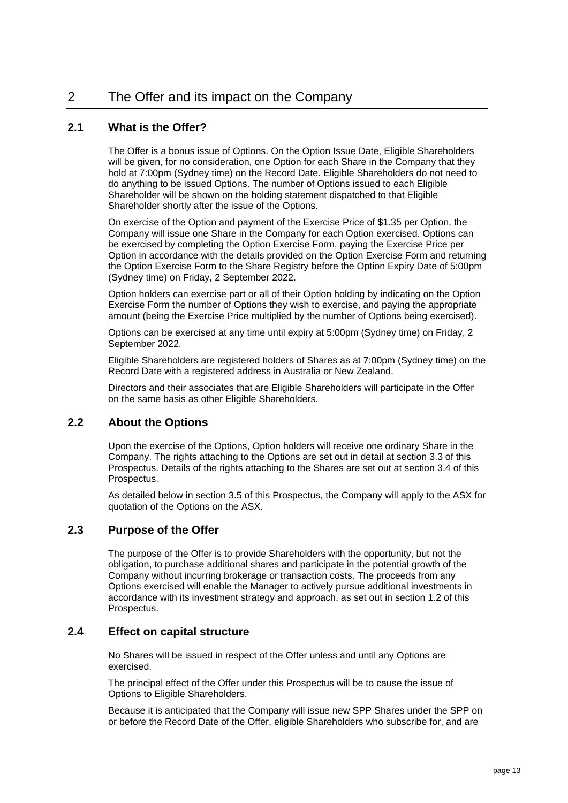# <span id="page-13-0"></span>2 The Offer and its impact on the Company

#### **2.1 What is the Offer?**

The Offer is a bonus issue of Options. On the Option Issue Date, Eligible Shareholders will be given, for no consideration, one Option for each Share in the Company that they hold at 7:00pm (Sydney time) on the Record Date. Eligible Shareholders do not need to do anything to be issued Options. The number of Options issued to each Eligible Shareholder will be shown on the holding statement dispatched to that Eligible Shareholder shortly after the issue of the Options.

On exercise of the Option and payment of the Exercise Price of \$1.35 per Option, the Company will issue one Share in the Company for each Option exercised. Options can be exercised by completing the Option Exercise Form, paying the Exercise Price per Option in accordance with the details provided on the Option Exercise Form and returning the Option Exercise Form to the Share Registry before the Option Expiry Date of 5:00pm (Sydney time) on Friday, 2 September 2022.

Option holders can exercise part or all of their Option holding by indicating on the Option Exercise Form the number of Options they wish to exercise, and paying the appropriate amount (being the Exercise Price multiplied by the number of Options being exercised).

Options can be exercised at any time until expiry at 5:00pm (Sydney time) on Friday, 2 September 2022.

Eligible Shareholders are registered holders of Shares as at 7:00pm (Sydney time) on the Record Date with a registered address in Australia or New Zealand.

Directors and their associates that are Eligible Shareholders will participate in the Offer on the same basis as other Eligible Shareholders.

#### **2.2 About the Options**

Upon the exercise of the Options, Option holders will receive one ordinary Share in the Company. The rights attaching to the Options are set out in detail at section [3.3](#page-17-1) of this Prospectus. Details of the rights attaching to the Shares are set out at section [3.4](#page-19-0) of this Prospectus.

As detailed below in section [3.5](#page-19-1) of this Prospectus, the Company will apply to the ASX for quotation of the Options on the ASX.

#### **2.3 Purpose of the Offer**

The purpose of the Offer is to provide Shareholders with the opportunity, but not the obligation, to purchase additional shares and participate in the potential growth of the Company without incurring brokerage or transaction costs. The proceeds from any Options exercised will enable the Manager to actively pursue additional investments in accordance with its investment strategy and approach, as set out in section [1.2](#page-8-1) of this Prospectus.

#### <span id="page-13-1"></span>**2.4 Effect on capital structure**

No Shares will be issued in respect of the Offer unless and until any Options are exercised.

The principal effect of the Offer under this Prospectus will be to cause the issue of Options to Eligible Shareholders.

Because it is anticipated that the Company will issue new SPP Shares under the SPP on or before the Record Date of the Offer, eligible Shareholders who subscribe for, and are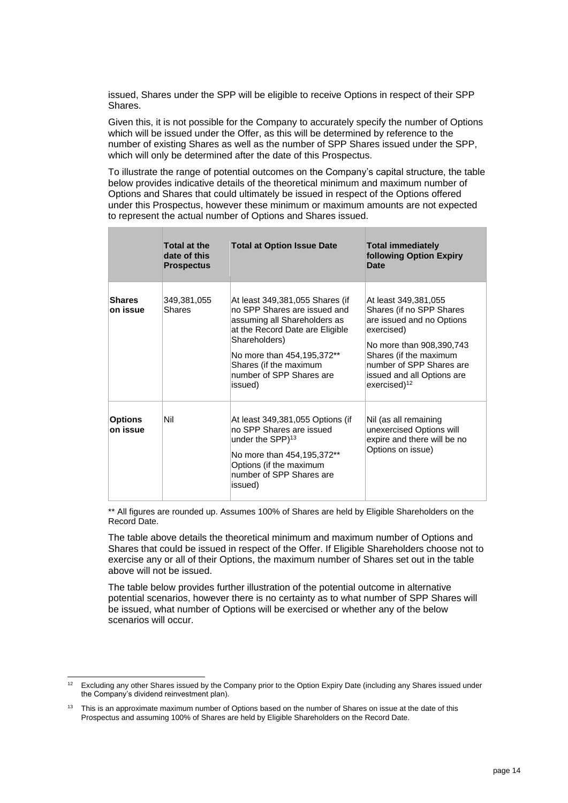issued, Shares under the SPP will be eligible to receive Options in respect of their SPP Shares.

Given this, it is not possible for the Company to accurately specify the number of Options which will be issued under the Offer, as this will be determined by reference to the number of existing Shares as well as the number of SPP Shares issued under the SPP, which will only be determined after the date of this Prospectus.

To illustrate the range of potential outcomes on the Company's capital structure, the table below provides indicative details of the theoretical minimum and maximum number of Options and Shares that could ultimately be issued in respect of the Options offered under this Prospectus, however these minimum or maximum amounts are not expected to represent the actual number of Options and Shares issued.

|                            | <b>Total at the</b><br>date of this<br><b>Prospectus</b> | <b>Total at Option Issue Date</b>                                                                                                                                                                                                                  | <b>Total immediately</b><br>following Option Expiry<br>Date                                                                                                                                                                             |
|----------------------------|----------------------------------------------------------|----------------------------------------------------------------------------------------------------------------------------------------------------------------------------------------------------------------------------------------------------|-----------------------------------------------------------------------------------------------------------------------------------------------------------------------------------------------------------------------------------------|
| <b>Shares</b><br>on issue  | 349,381,055<br><b>Shares</b>                             | At least 349,381,055 Shares (if<br>no SPP Shares are issued and<br>assuming all Shareholders as<br>at the Record Date are Eligible<br>Shareholders)<br>No more than 454,195,372**<br>Shares (if the maximum<br>number of SPP Shares are<br>issued) | At least 349,381,055<br>Shares (if no SPP Shares<br>are issued and no Options<br>exercised)<br>No more than 908,390,743<br>Shares (if the maximum<br>number of SPP Shares are<br>issued and all Options are<br>exercised) <sup>12</sup> |
| <b>Options</b><br>on issue | Nil                                                      | At least 349,381,055 Options (if<br>no SPP Shares are issued<br>under the SPP) <sup>13</sup><br>No more than 454,195,372**<br>Options (if the maximum<br>number of SPP Shares are<br>issued)                                                       | Nil (as all remaining<br>unexercised Options will<br>expire and there will be no<br>Options on issue)                                                                                                                                   |

\*\* All figures are rounded up. Assumes 100% of Shares are held by Eligible Shareholders on the Record Date.

The table above details the theoretical minimum and maximum number of Options and Shares that could be issued in respect of the Offer. If Eligible Shareholders choose not to exercise any or all of their Options, the maximum number of Shares set out in the table above will not be issued.

The table below provides further illustration of the potential outcome in alternative potential scenarios, however there is no certainty as to what number of SPP Shares will be issued, what number of Options will be exercised or whether any of the below scenarios will occur.

 $12$  Excluding any other Shares issued by the Company prior to the Option Expiry Date (including any Shares issued under the Company's dividend reinvestment plan).

<sup>&</sup>lt;sup>13</sup> This is an approximate maximum number of Options based on the number of Shares on issue at the date of this Prospectus and assuming 100% of Shares are held by Eligible Shareholders on the Record Date.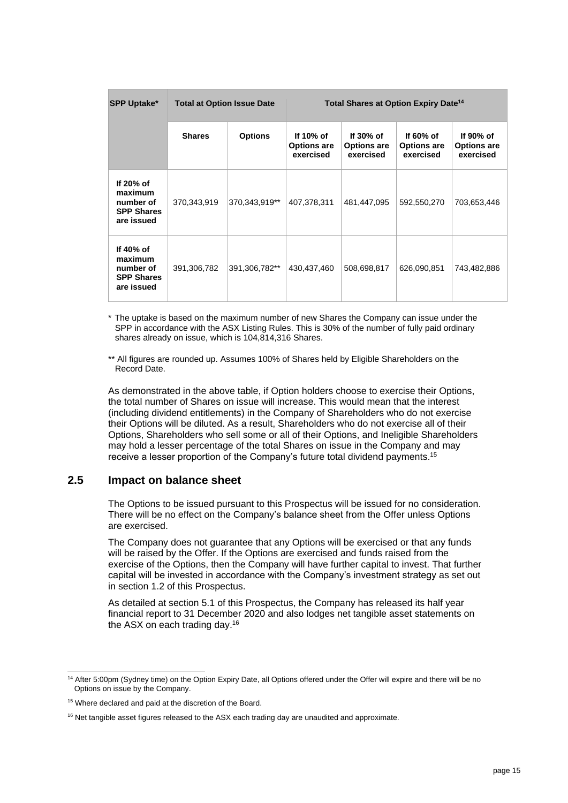| <b>SPP Uptake*</b>                                                   | <b>Total at Option Issue Date</b> |                | Total Shares at Option Expiry Date <sup>14</sup> |                                                 |                                                 |                                              |
|----------------------------------------------------------------------|-----------------------------------|----------------|--------------------------------------------------|-------------------------------------------------|-------------------------------------------------|----------------------------------------------|
|                                                                      | <b>Shares</b>                     | <b>Options</b> | If 10% of<br><b>Options are</b><br>exercised     | If $30\%$ of<br><b>Options are</b><br>exercised | If $60\%$ of<br><b>Options are</b><br>exercised | If 90% of<br><b>Options are</b><br>exercised |
| If 20% of<br>maximum<br>number of<br><b>SPP Shares</b><br>are issued | 370,343,919                       | 370,343,919**  | 407,378,311                                      | 481,447,095                                     | 592,550,270                                     | 703,653,446                                  |
| If 40% of<br>maximum<br>number of<br><b>SPP Shares</b><br>are issued | 391,306,782                       | 391,306,782**  | 430,437,460                                      | 508,698,817                                     | 626,090,851                                     | 743,482,886                                  |

\* The uptake is based on the maximum number of new Shares the Company can issue under the SPP in accordance with the ASX Listing Rules. This is 30% of the number of fully paid ordinary shares already on issue, which is 104,814,316 Shares.

\*\* All figures are rounded up. Assumes 100% of Shares held by Eligible Shareholders on the Record Date.

As demonstrated in the above table, if Option holders choose to exercise their Options, the total number of Shares on issue will increase. This would mean that the interest (including dividend entitlements) in the Company of Shareholders who do not exercise their Options will be diluted. As a result, Shareholders who do not exercise all of their Options, Shareholders who sell some or all of their Options, and Ineligible Shareholders may hold a lesser percentage of the total Shares on issue in the Company and may receive a lesser proportion of the Company's future total dividend payments.<sup>15</sup>

#### **2.5 Impact on balance sheet**

The Options to be issued pursuant to this Prospectus will be issued for no consideration. There will be no effect on the Company's balance sheet from the Offer unless Options are exercised.

The Company does not guarantee that any Options will be exercised or that any funds will be raised by the Offer. If the Options are exercised and funds raised from the exercise of the Options, then the Company will have further capital to invest. That further capital will be invested in accordance with the Company's investment strategy as set out in section [1.2](#page-8-1) of this Prospectus.

As detailed at section [5.1](#page-27-1) of this Prospectus, the Company has released its half year financial report to 31 December 2020 and also lodges net tangible asset statements on the ASX on each trading day.<sup>16</sup>

<sup>&</sup>lt;sup>14</sup> After 5:00pm (Sydney time) on the Option Expiry Date, all Options offered under the Offer will expire and there will be no Options on issue by the Company.

<sup>15</sup> Where declared and paid at the discretion of the Board.

<sup>&</sup>lt;sup>16</sup> Net tangible asset figures released to the ASX each trading day are unaudited and approximate.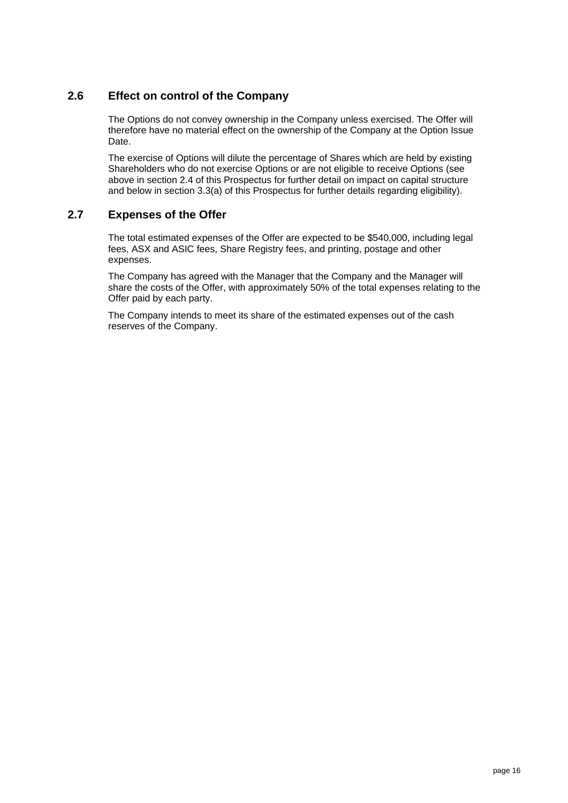# **2.6 Effect on control of the Company**

The Options do not convey ownership in the Company unless exercised. The Offer will therefore have no material effect on the ownership of the Company at the Option Issue Date.

The exercise of Options will dilute the percentage of Shares which are held by existing Shareholders who do not exercise Options or are not eligible to receive Options (see above in section [2.4](#page-13-1) of this Prospectus for further detail on impact on capital structure and below in section [3.3\(a\)](#page-17-2) of this Prospectus for further details regarding eligibility).

#### **2.7 Expenses of the Offer**

The total estimated expenses of the Offer are expected to be \$540,000, including legal fees, ASX and ASIC fees, Share Registry fees, and printing, postage and other expenses.

The Company has agreed with the Manager that the Company and the Manager will share the costs of the Offer, with approximately 50% of the total expenses relating to the Offer paid by each party.

The Company intends to meet its share of the estimated expenses out of the cash reserves of the Company.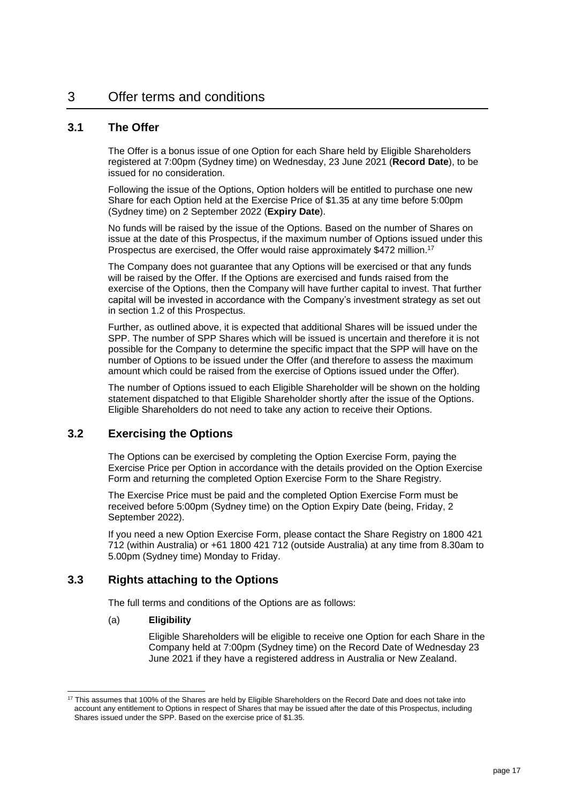#### <span id="page-17-0"></span>**3.1 The Offer**

The Offer is a bonus issue of one Option for each Share held by Eligible Shareholders registered at 7:00pm (Sydney time) on Wednesday, 23 June 2021 (**Record Date**), to be issued for no consideration.

Following the issue of the Options, Option holders will be entitled to purchase one new Share for each Option held at the Exercise Price of \$1.35 at any time before 5:00pm (Sydney time) on 2 September 2022 (**Expiry Date**).

No funds will be raised by the issue of the Options. Based on the number of Shares on issue at the date of this Prospectus, if the maximum number of Options issued under this Prospectus are exercised, the Offer would raise approximately \$472 million.<sup>17</sup>

The Company does not guarantee that any Options will be exercised or that any funds will be raised by the Offer. If the Options are exercised and funds raised from the exercise of the Options, then the Company will have further capital to invest. That further capital will be invested in accordance with the Company's investment strategy as set out in section [1.2](#page-8-1) of this Prospectus.

Further, as outlined above, it is expected that additional Shares will be issued under the SPP. The number of SPP Shares which will be issued is uncertain and therefore it is not possible for the Company to determine the specific impact that the SPP will have on the number of Options to be issued under the Offer (and therefore to assess the maximum amount which could be raised from the exercise of Options issued under the Offer).

The number of Options issued to each Eligible Shareholder will be shown on the holding statement dispatched to that Eligible Shareholder shortly after the issue of the Options. Eligible Shareholders do not need to take any action to receive their Options.

#### **3.2 Exercising the Options**

The Options can be exercised by completing the Option Exercise Form, paying the Exercise Price per Option in accordance with the details provided on the Option Exercise Form and returning the completed Option Exercise Form to the Share Registry.

The Exercise Price must be paid and the completed Option Exercise Form must be received before 5:00pm (Sydney time) on the Option Expiry Date (being, Friday, 2 September 2022).

If you need a new Option Exercise Form, please contact the Share Registry on 1800 421 712 (within Australia) or +61 1800 421 712 (outside Australia) at any time from 8.30am to 5.00pm (Sydney time) Monday to Friday.

#### <span id="page-17-2"></span><span id="page-17-1"></span>**3.3 Rights attaching to the Options**

The full terms and conditions of the Options are as follows:

#### (a) **Eligibility**

Eligible Shareholders will be eligible to receive one Option for each Share in the Company held at 7:00pm (Sydney time) on the Record Date of Wednesday 23 June 2021 if they have a registered address in Australia or New Zealand.

<sup>&</sup>lt;sup>17</sup> This assumes that 100% of the Shares are held by Eligible Shareholders on the Record Date and does not take into account any entitlement to Options in respect of Shares that may be issued after the date of this Prospectus, including Shares issued under the SPP. Based on the exercise price of \$1.35.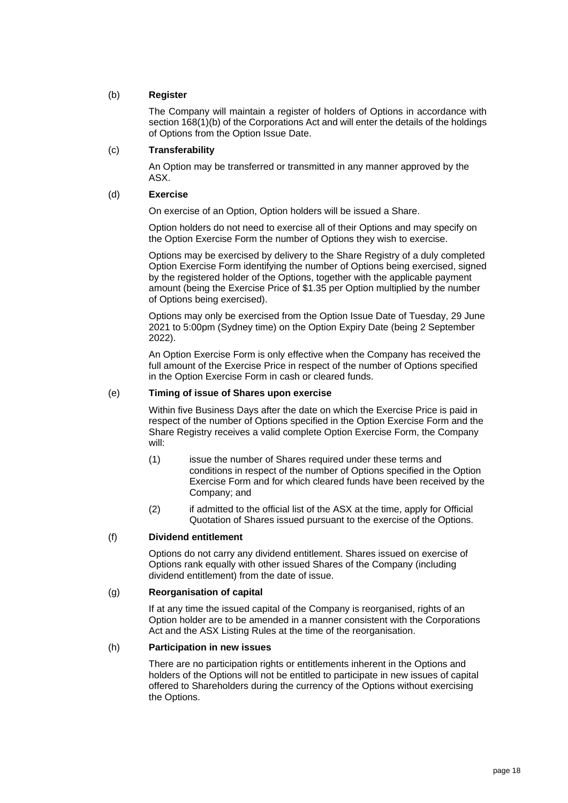#### (b) **Register**

The Company will maintain a register of holders of Options in accordance with section 168(1)(b) of the Corporations Act and will enter the details of the holdings of Options from the Option Issue Date.

#### (c) **Transferability**

An Option may be transferred or transmitted in any manner approved by the ASX.

#### <span id="page-18-0"></span>(d) **Exercise**

On exercise of an Option, Option holders will be issued a Share.

Option holders do not need to exercise all of their Options and may specify on the Option Exercise Form the number of Options they wish to exercise.

Options may be exercised by delivery to the Share Registry of a duly completed Option Exercise Form identifying the number of Options being exercised, signed by the registered holder of the Options, together with the applicable payment amount (being the Exercise Price of \$1.35 per Option multiplied by the number of Options being exercised).

Options may only be exercised from the Option Issue Date of Tuesday, 29 June 2021 to 5:00pm (Sydney time) on the Option Expiry Date (being 2 September 2022).

An Option Exercise Form is only effective when the Company has received the full amount of the Exercise Price in respect of the number of Options specified in the Option Exercise Form in cash or cleared funds.

#### (e) **Timing of issue of Shares upon exercise**

Within five Business Days after the date on which the Exercise Price is paid in respect of the number of Options specified in the Option Exercise Form and the Share Registry receives a valid complete Option Exercise Form, the Company will:

- (1) issue the number of Shares required under these terms and conditions in respect of the number of Options specified in the Option Exercise Form and for which cleared funds have been received by the Company; and
- (2) if admitted to the official list of the ASX at the time, apply for Official Quotation of Shares issued pursuant to the exercise of the Options.

#### (f) **Dividend entitlement**

Options do not carry any dividend entitlement. Shares issued on exercise of Options rank equally with other issued Shares of the Company (including dividend entitlement) from the date of issue.

#### (g) **Reorganisation of capital**

If at any time the issued capital of the Company is reorganised, rights of an Option holder are to be amended in a manner consistent with the Corporations Act and the ASX Listing Rules at the time of the reorganisation.

#### (h) **Participation in new issues**

There are no participation rights or entitlements inherent in the Options and holders of the Options will not be entitled to participate in new issues of capital offered to Shareholders during the currency of the Options without exercising the Options.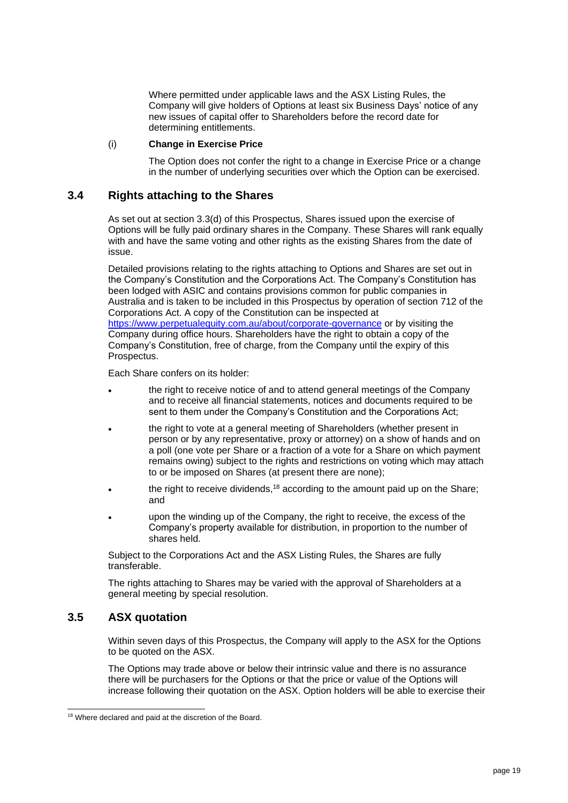Where permitted under applicable laws and the ASX Listing Rules, the Company will give holders of Options at least six Business Days' notice of any new issues of capital offer to Shareholders before the record date for determining entitlements.

#### (i) **Change in Exercise Price**

The Option does not confer the right to a change in Exercise Price or a change in the number of underlying securities over which the Option can be exercised.

#### <span id="page-19-0"></span>**3.4 Rights attaching to the Shares**

As set out at section [3.3\(d\)](#page-18-0) of this Prospectus, Shares issued upon the exercise of Options will be fully paid ordinary shares in the Company. These Shares will rank equally with and have the same voting and other rights as the existing Shares from the date of issue.

Detailed provisions relating to the rights attaching to Options and Shares are set out in the Company's Constitution and the Corporations Act. The Company's Constitution has been lodged with ASIC and contains provisions common for public companies in Australia and is taken to be included in this Prospectus by operation of section 712 of the Corporations Act. A copy of the Constitution can be inspected at <https://www.perpetualequity.com.au/about/corporate-governance> or by visiting the Company during office hours. Shareholders have the right to obtain a copy of the Company's Constitution, free of charge, from the Company until the expiry of this Prospectus.

Each Share confers on its holder:

- the right to receive notice of and to attend general meetings of the Company and to receive all financial statements, notices and documents required to be sent to them under the Company's Constitution and the Corporations Act;
- the right to vote at a general meeting of Shareholders (whether present in person or by any representative, proxy or attorney) on a show of hands and on a poll (one vote per Share or a fraction of a vote for a Share on which payment remains owing) subject to the rights and restrictions on voting which may attach to or be imposed on Shares (at present there are none);
- the right to receive dividends.<sup>18</sup> according to the amount paid up on the Share: and
- upon the winding up of the Company, the right to receive, the excess of the Company's property available for distribution, in proportion to the number of shares held.

Subject to the Corporations Act and the ASX Listing Rules, the Shares are fully transferable.

The rights attaching to Shares may be varied with the approval of Shareholders at a general meeting by special resolution.

#### <span id="page-19-1"></span>**3.5 ASX quotation**

Within seven days of this Prospectus, the Company will apply to the ASX for the Options to be quoted on the ASX.

The Options may trade above or below their intrinsic value and there is no assurance there will be purchasers for the Options or that the price or value of the Options will increase following their quotation on the ASX. Option holders will be able to exercise their

<sup>18</sup> Where declared and paid at the discretion of the Board.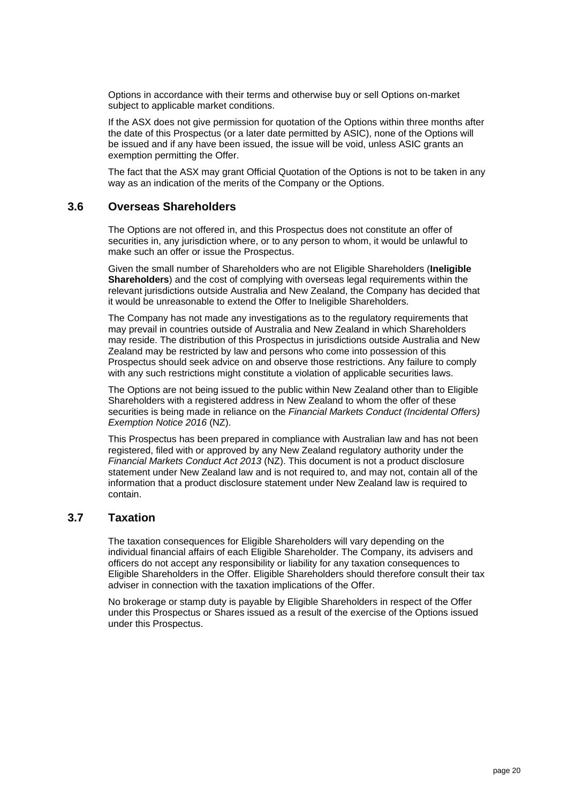Options in accordance with their terms and otherwise buy or sell Options on-market subject to applicable market conditions.

If the ASX does not give permission for quotation of the Options within three months after the date of this Prospectus (or a later date permitted by ASIC), none of the Options will be issued and if any have been issued, the issue will be void, unless ASIC grants an exemption permitting the Offer.

The fact that the ASX may grant Official Quotation of the Options is not to be taken in any way as an indication of the merits of the Company or the Options.

#### **3.6 Overseas Shareholders**

The Options are not offered in, and this Prospectus does not constitute an offer of securities in, any jurisdiction where, or to any person to whom, it would be unlawful to make such an offer or issue the Prospectus.

Given the small number of Shareholders who are not Eligible Shareholders (**Ineligible Shareholders**) and the cost of complying with overseas legal requirements within the relevant jurisdictions outside Australia and New Zealand, the Company has decided that it would be unreasonable to extend the Offer to Ineligible Shareholders.

The Company has not made any investigations as to the regulatory requirements that may prevail in countries outside of Australia and New Zealand in which Shareholders may reside. The distribution of this Prospectus in jurisdictions outside Australia and New Zealand may be restricted by law and persons who come into possession of this Prospectus should seek advice on and observe those restrictions. Any failure to comply with any such restrictions might constitute a violation of applicable securities laws.

The Options are not being issued to the public within New Zealand other than to Eligible Shareholders with a registered address in New Zealand to whom the offer of these securities is being made in reliance on the *Financial Markets Conduct (Incidental Offers) Exemption Notice 2016* (NZ).

This Prospectus has been prepared in compliance with Australian law and has not been registered, filed with or approved by any New Zealand regulatory authority under the *Financial Markets Conduct Act 2013* (NZ). This document is not a product disclosure statement under New Zealand law and is not required to, and may not, contain all of the information that a product disclosure statement under New Zealand law is required to contain.

#### **3.7 Taxation**

The taxation consequences for Eligible Shareholders will vary depending on the individual financial affairs of each Eligible Shareholder. The Company, its advisers and officers do not accept any responsibility or liability for any taxation consequences to Eligible Shareholders in the Offer. Eligible Shareholders should therefore consult their tax adviser in connection with the taxation implications of the Offer.

No brokerage or stamp duty is payable by Eligible Shareholders in respect of the Offer under this Prospectus or Shares issued as a result of the exercise of the Options issued under this Prospectus.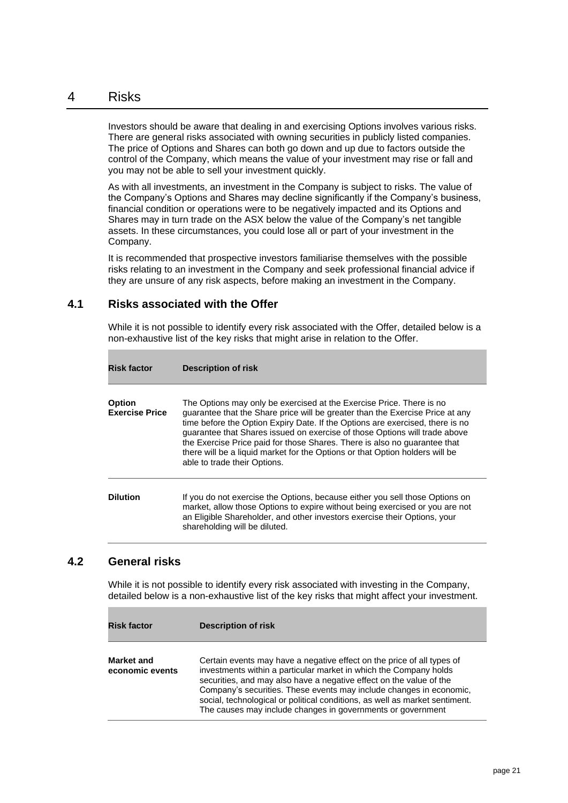#### <span id="page-21-0"></span>4 Risks

Investors should be aware that dealing in and exercising Options involves various risks. There are general risks associated with owning securities in publicly listed companies. The price of Options and Shares can both go down and up due to factors outside the control of the Company, which means the value of your investment may rise or fall and you may not be able to sell your investment quickly.

As with all investments, an investment in the Company is subject to risks. The value of the Company's Options and Shares may decline significantly if the Company's business, financial condition or operations were to be negatively impacted and its Options and Shares may in turn trade on the ASX below the value of the Company's net tangible assets. In these circumstances, you could lose all or part of your investment in the Company.

It is recommended that prospective investors familiarise themselves with the possible risks relating to an investment in the Company and seek professional financial advice if they are unsure of any risk aspects, before making an investment in the Company.

#### **4.1 Risks associated with the Offer**

While it is not possible to identify every risk associated with the Offer, detailed below is a non-exhaustive list of the key risks that might arise in relation to the Offer.

| <b>Risk factor</b>                     | <b>Description of risk</b>                                                                                                                                                                                                                                                                                                                                                                                                                                                                                        |
|----------------------------------------|-------------------------------------------------------------------------------------------------------------------------------------------------------------------------------------------------------------------------------------------------------------------------------------------------------------------------------------------------------------------------------------------------------------------------------------------------------------------------------------------------------------------|
| <b>Option</b><br><b>Exercise Price</b> | The Options may only be exercised at the Exercise Price. There is no<br>guarantee that the Share price will be greater than the Exercise Price at any<br>time before the Option Expiry Date. If the Options are exercised, there is no<br>guarantee that Shares issued on exercise of those Options will trade above<br>the Exercise Price paid for those Shares. There is also no quarantee that<br>there will be a liquid market for the Options or that Option holders will be<br>able to trade their Options. |
| <b>Dilution</b>                        | If you do not exercise the Options, because either you sell those Options on<br>market, allow those Options to expire without being exercised or you are not<br>an Eligible Shareholder, and other investors exercise their Options, your<br>shareholding will be diluted.                                                                                                                                                                                                                                        |

#### **4.2 General risks**

While it is not possible to identify every risk associated with investing in the Company, detailed below is a non-exhaustive list of the key risks that might affect your investment.

| <b>Risk factor</b>            | Description of risk                                                                                                                                                                                                                                                                                                                                                                                                                     |
|-------------------------------|-----------------------------------------------------------------------------------------------------------------------------------------------------------------------------------------------------------------------------------------------------------------------------------------------------------------------------------------------------------------------------------------------------------------------------------------|
| Market and<br>economic events | Certain events may have a negative effect on the price of all types of<br>investments within a particular market in which the Company holds<br>securities, and may also have a negative effect on the value of the<br>Company's securities. These events may include changes in economic,<br>social, technological or political conditions, as well as market sentiment.<br>The causes may include changes in governments or government |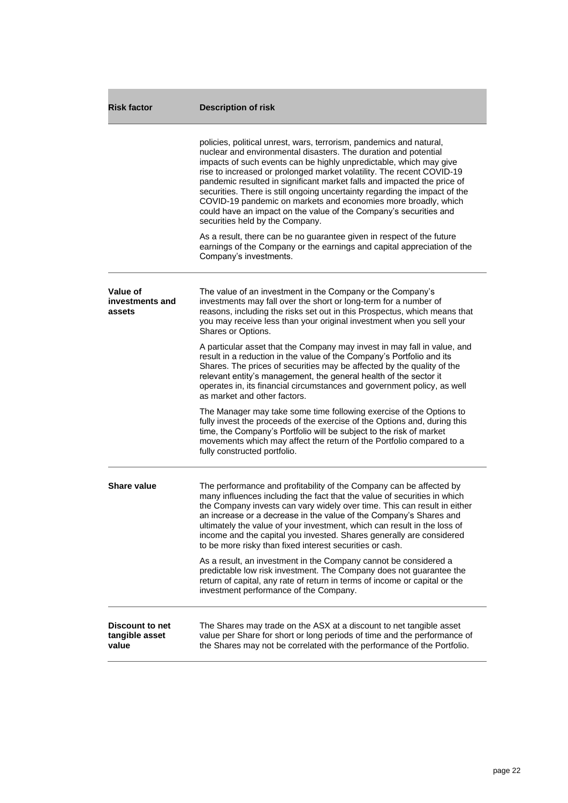| <b>Risk factor</b>                                | <b>Description of risk</b>                                                                                                                                                                                                                                                                                                                                                                                                                                                                                                                                                                                                                                                                                                                                                                             |
|---------------------------------------------------|--------------------------------------------------------------------------------------------------------------------------------------------------------------------------------------------------------------------------------------------------------------------------------------------------------------------------------------------------------------------------------------------------------------------------------------------------------------------------------------------------------------------------------------------------------------------------------------------------------------------------------------------------------------------------------------------------------------------------------------------------------------------------------------------------------|
|                                                   | policies, political unrest, wars, terrorism, pandemics and natural,<br>nuclear and environmental disasters. The duration and potential<br>impacts of such events can be highly unpredictable, which may give<br>rise to increased or prolonged market volatility. The recent COVID-19<br>pandemic resulted in significant market falls and impacted the price of<br>securities. There is still ongoing uncertainty regarding the impact of the<br>COVID-19 pandemic on markets and economies more broadly, which<br>could have an impact on the value of the Company's securities and<br>securities held by the Company.<br>As a result, there can be no guarantee given in respect of the future<br>earnings of the Company or the earnings and capital appreciation of the<br>Company's investments. |
|                                                   |                                                                                                                                                                                                                                                                                                                                                                                                                                                                                                                                                                                                                                                                                                                                                                                                        |
| Value of<br>investments and<br>assets             | The value of an investment in the Company or the Company's<br>investments may fall over the short or long-term for a number of<br>reasons, including the risks set out in this Prospectus, which means that<br>you may receive less than your original investment when you sell your<br>Shares or Options.                                                                                                                                                                                                                                                                                                                                                                                                                                                                                             |
|                                                   | A particular asset that the Company may invest in may fall in value, and<br>result in a reduction in the value of the Company's Portfolio and its<br>Shares. The prices of securities may be affected by the quality of the<br>relevant entity's management, the general health of the sector it<br>operates in, its financial circumstances and government policy, as well<br>as market and other factors.                                                                                                                                                                                                                                                                                                                                                                                            |
|                                                   | The Manager may take some time following exercise of the Options to<br>fully invest the proceeds of the exercise of the Options and, during this<br>time, the Company's Portfolio will be subject to the risk of market<br>movements which may affect the return of the Portfolio compared to a<br>fully constructed portfolio.                                                                                                                                                                                                                                                                                                                                                                                                                                                                        |
| Share value                                       | The performance and profitability of the Company can be affected by<br>many influences including the fact that the value of securities in which<br>the Company invests can vary widely over time. This can result in either<br>an increase or a decrease in the value of the Company's Shares and<br>ultimately the value of your investment, which can result in the loss of<br>income and the capital you invested. Shares generally are considered<br>to be more risky than fixed interest securities or cash.                                                                                                                                                                                                                                                                                      |
|                                                   | As a result, an investment in the Company cannot be considered a<br>predictable low risk investment. The Company does not guarantee the<br>return of capital, any rate of return in terms of income or capital or the<br>investment performance of the Company.                                                                                                                                                                                                                                                                                                                                                                                                                                                                                                                                        |
| <b>Discount to net</b><br>tangible asset<br>value | The Shares may trade on the ASX at a discount to net tangible asset<br>value per Share for short or long periods of time and the performance of<br>the Shares may not be correlated with the performance of the Portfolio.                                                                                                                                                                                                                                                                                                                                                                                                                                                                                                                                                                             |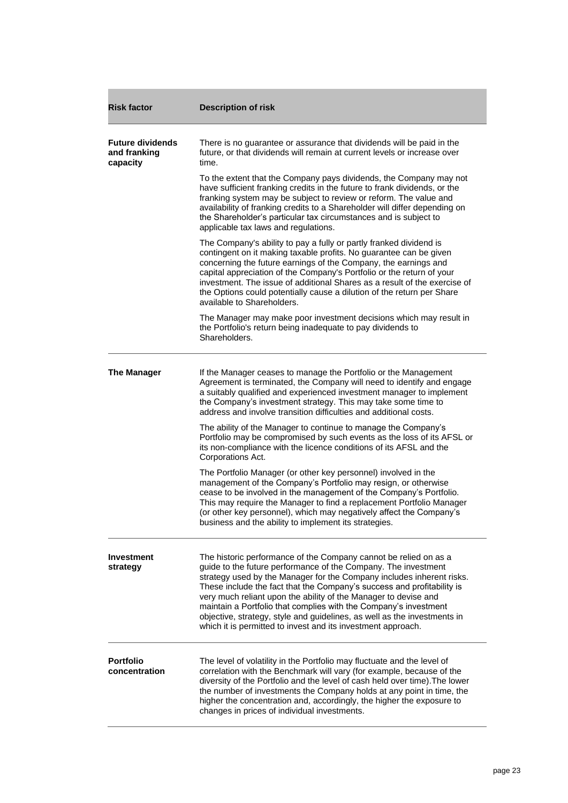| <b>Risk factor</b>                                  | <b>Description of risk</b>                                                                                                                                                                                                                                                                                                                                                                                                                                                                                                                                               |
|-----------------------------------------------------|--------------------------------------------------------------------------------------------------------------------------------------------------------------------------------------------------------------------------------------------------------------------------------------------------------------------------------------------------------------------------------------------------------------------------------------------------------------------------------------------------------------------------------------------------------------------------|
| <b>Future dividends</b><br>and franking<br>capacity | There is no guarantee or assurance that dividends will be paid in the<br>future, or that dividends will remain at current levels or increase over<br>time.                                                                                                                                                                                                                                                                                                                                                                                                               |
|                                                     | To the extent that the Company pays dividends, the Company may not<br>have sufficient franking credits in the future to frank dividends, or the<br>franking system may be subject to review or reform. The value and<br>availability of franking credits to a Shareholder will differ depending on<br>the Shareholder's particular tax circumstances and is subject to<br>applicable tax laws and regulations.                                                                                                                                                           |
|                                                     | The Company's ability to pay a fully or partly franked dividend is<br>contingent on it making taxable profits. No guarantee can be given<br>concerning the future earnings of the Company, the earnings and<br>capital appreciation of the Company's Portfolio or the return of your<br>investment. The issue of additional Shares as a result of the exercise of<br>the Options could potentially cause a dilution of the return per Share<br>available to Shareholders.                                                                                                |
|                                                     | The Manager may make poor investment decisions which may result in<br>the Portfolio's return being inadequate to pay dividends to<br>Shareholders.                                                                                                                                                                                                                                                                                                                                                                                                                       |
| <b>The Manager</b>                                  | If the Manager ceases to manage the Portfolio or the Management<br>Agreement is terminated, the Company will need to identify and engage<br>a suitably qualified and experienced investment manager to implement<br>the Company's investment strategy. This may take some time to<br>address and involve transition difficulties and additional costs.                                                                                                                                                                                                                   |
|                                                     | The ability of the Manager to continue to manage the Company's<br>Portfolio may be compromised by such events as the loss of its AFSL or<br>its non-compliance with the licence conditions of its AFSL and the<br>Corporations Act.                                                                                                                                                                                                                                                                                                                                      |
|                                                     | The Portfolio Manager (or other key personnel) involved in the<br>management of the Company's Portfolio may resign, or otherwise<br>cease to be involved in the management of the Company's Portfolio.<br>This may require the Manager to find a replacement Portfolio Manager<br>(or other key personnel), which may negatively affect the Company's<br>business and the ability to implement its strategies.                                                                                                                                                           |
| <b>Investment</b><br>strategy                       | The historic performance of the Company cannot be relied on as a<br>guide to the future performance of the Company. The investment<br>strategy used by the Manager for the Company includes inherent risks.<br>These include the fact that the Company's success and profitability is<br>very much reliant upon the ability of the Manager to devise and<br>maintain a Portfolio that complies with the Company's investment<br>objective, strategy, style and guidelines, as well as the investments in<br>which it is permitted to invest and its investment approach. |
| <b>Portfolio</b><br>concentration                   | The level of volatility in the Portfolio may fluctuate and the level of<br>correlation with the Benchmark will vary (for example, because of the<br>diversity of the Portfolio and the level of cash held over time). The lower<br>the number of investments the Company holds at any point in time, the<br>higher the concentration and, accordingly, the higher the exposure to<br>changes in prices of individual investments.                                                                                                                                        |

п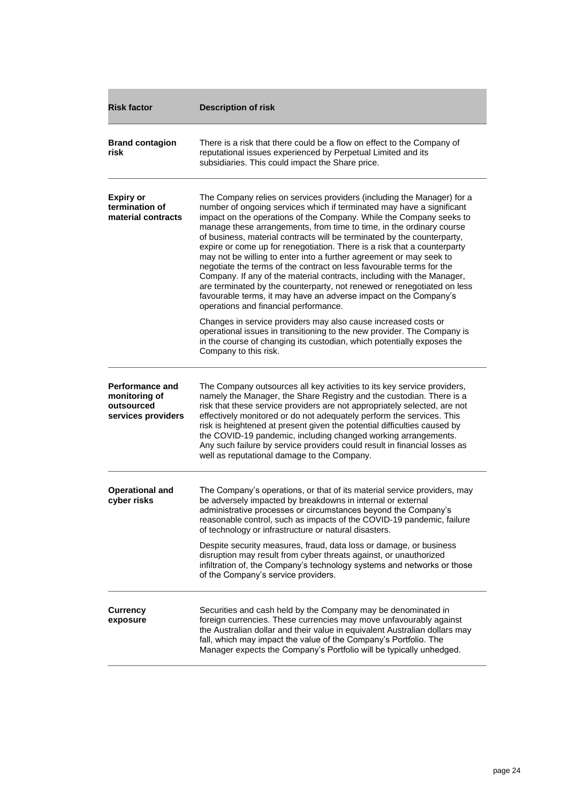| <b>Risk factor</b>                                                          | <b>Description of risk</b>                                                                                                                                                                                                                                                                                                                                                                                                                                                                                                                                                                                                                                                                                                                                                                                                                                             |
|-----------------------------------------------------------------------------|------------------------------------------------------------------------------------------------------------------------------------------------------------------------------------------------------------------------------------------------------------------------------------------------------------------------------------------------------------------------------------------------------------------------------------------------------------------------------------------------------------------------------------------------------------------------------------------------------------------------------------------------------------------------------------------------------------------------------------------------------------------------------------------------------------------------------------------------------------------------|
| <b>Brand contagion</b><br>risk                                              | There is a risk that there could be a flow on effect to the Company of<br>reputational issues experienced by Perpetual Limited and its<br>subsidiaries. This could impact the Share price.                                                                                                                                                                                                                                                                                                                                                                                                                                                                                                                                                                                                                                                                             |
| <b>Expiry or</b><br>termination of<br>material contracts                    | The Company relies on services providers (including the Manager) for a<br>number of ongoing services which if terminated may have a significant<br>impact on the operations of the Company. While the Company seeks to<br>manage these arrangements, from time to time, in the ordinary course<br>of business, material contracts will be terminated by the counterparty,<br>expire or come up for renegotiation. There is a risk that a counterparty<br>may not be willing to enter into a further agreement or may seek to<br>negotiate the terms of the contract on less favourable terms for the<br>Company. If any of the material contracts, including with the Manager,<br>are terminated by the counterparty, not renewed or renegotiated on less<br>favourable terms, it may have an adverse impact on the Company's<br>operations and financial performance. |
|                                                                             | Changes in service providers may also cause increased costs or<br>operational issues in transitioning to the new provider. The Company is<br>in the course of changing its custodian, which potentially exposes the<br>Company to this risk.                                                                                                                                                                                                                                                                                                                                                                                                                                                                                                                                                                                                                           |
| <b>Performance and</b><br>monitoring of<br>outsourced<br>services providers | The Company outsources all key activities to its key service providers,<br>namely the Manager, the Share Registry and the custodian. There is a<br>risk that these service providers are not appropriately selected, are not<br>effectively monitored or do not adequately perform the services. This<br>risk is heightened at present given the potential difficulties caused by<br>the COVID-19 pandemic, including changed working arrangements.<br>Any such failure by service providers could result in financial losses as<br>well as reputational damage to the Company.                                                                                                                                                                                                                                                                                        |
| <b>Operational and</b><br>cyber risks                                       | The Company's operations, or that of its material service providers, may<br>be adversely impacted by breakdowns in internal or external<br>administrative processes or circumstances beyond the Company's<br>reasonable control, such as impacts of the COVID-19 pandemic, failure<br>of technology or infrastructure or natural disasters.                                                                                                                                                                                                                                                                                                                                                                                                                                                                                                                            |
|                                                                             | Despite security measures, fraud, data loss or damage, or business<br>disruption may result from cyber threats against, or unauthorized<br>infiltration of, the Company's technology systems and networks or those<br>of the Company's service providers.                                                                                                                                                                                                                                                                                                                                                                                                                                                                                                                                                                                                              |
| <b>Currency</b><br>exposure                                                 | Securities and cash held by the Company may be denominated in<br>foreign currencies. These currencies may move unfavourably against<br>the Australian dollar and their value in equivalent Australian dollars may<br>fall, which may impact the value of the Company's Portfolio. The<br>Manager expects the Company's Portfolio will be typically unhedged.                                                                                                                                                                                                                                                                                                                                                                                                                                                                                                           |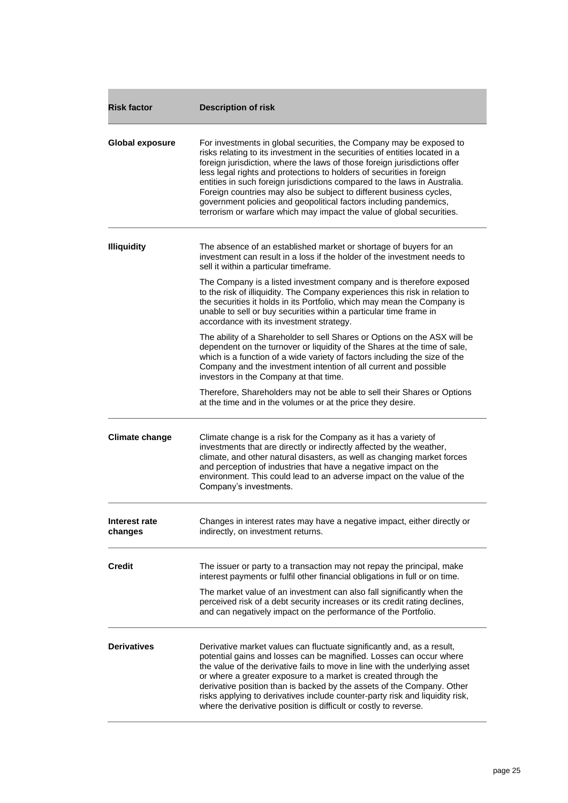| <b>Risk factor</b>       | <b>Description of risk</b>                                                                                                                                                                                                                                                                                                                                                                                                                                                                                                                                                                                 |  |  |
|--------------------------|------------------------------------------------------------------------------------------------------------------------------------------------------------------------------------------------------------------------------------------------------------------------------------------------------------------------------------------------------------------------------------------------------------------------------------------------------------------------------------------------------------------------------------------------------------------------------------------------------------|--|--|
| <b>Global exposure</b>   | For investments in global securities, the Company may be exposed to<br>risks relating to its investment in the securities of entities located in a<br>foreign jurisdiction, where the laws of those foreign jurisdictions offer<br>less legal rights and protections to holders of securities in foreign<br>entities in such foreign jurisdictions compared to the laws in Australia.<br>Foreign countries may also be subject to different business cycles,<br>government policies and geopolitical factors including pandemics,<br>terrorism or warfare which may impact the value of global securities. |  |  |
| <b>Illiquidity</b>       | The absence of an established market or shortage of buyers for an<br>investment can result in a loss if the holder of the investment needs to<br>sell it within a particular timeframe.                                                                                                                                                                                                                                                                                                                                                                                                                    |  |  |
|                          | The Company is a listed investment company and is therefore exposed<br>to the risk of illiquidity. The Company experiences this risk in relation to<br>the securities it holds in its Portfolio, which may mean the Company is<br>unable to sell or buy securities within a particular time frame in<br>accordance with its investment strategy.                                                                                                                                                                                                                                                           |  |  |
|                          | The ability of a Shareholder to sell Shares or Options on the ASX will be<br>dependent on the turnover or liquidity of the Shares at the time of sale,<br>which is a function of a wide variety of factors including the size of the<br>Company and the investment intention of all current and possible<br>investors in the Company at that time.                                                                                                                                                                                                                                                         |  |  |
|                          | Therefore, Shareholders may not be able to sell their Shares or Options<br>at the time and in the volumes or at the price they desire.                                                                                                                                                                                                                                                                                                                                                                                                                                                                     |  |  |
| <b>Climate change</b>    | Climate change is a risk for the Company as it has a variety of<br>investments that are directly or indirectly affected by the weather,<br>climate, and other natural disasters, as well as changing market forces<br>and perception of industries that have a negative impact on the<br>environment. This could lead to an adverse impact on the value of the<br>Company's investments.                                                                                                                                                                                                                   |  |  |
| Interest rate<br>changes | Changes in interest rates may have a negative impact, either directly or<br>indirectly, on investment returns.                                                                                                                                                                                                                                                                                                                                                                                                                                                                                             |  |  |
| <b>Credit</b>            | The issuer or party to a transaction may not repay the principal, make<br>interest payments or fulfil other financial obligations in full or on time.                                                                                                                                                                                                                                                                                                                                                                                                                                                      |  |  |
|                          | The market value of an investment can also fall significantly when the<br>perceived risk of a debt security increases or its credit rating declines,<br>and can negatively impact on the performance of the Portfolio.                                                                                                                                                                                                                                                                                                                                                                                     |  |  |
| <b>Derivatives</b>       | Derivative market values can fluctuate significantly and, as a result,<br>potential gains and losses can be magnified. Losses can occur where<br>the value of the derivative fails to move in line with the underlying asset<br>or where a greater exposure to a market is created through the<br>derivative position than is backed by the assets of the Company. Other<br>risks applying to derivatives include counter-party risk and liquidity risk,<br>where the derivative position is difficult or costly to reverse.                                                                               |  |  |

ï

m.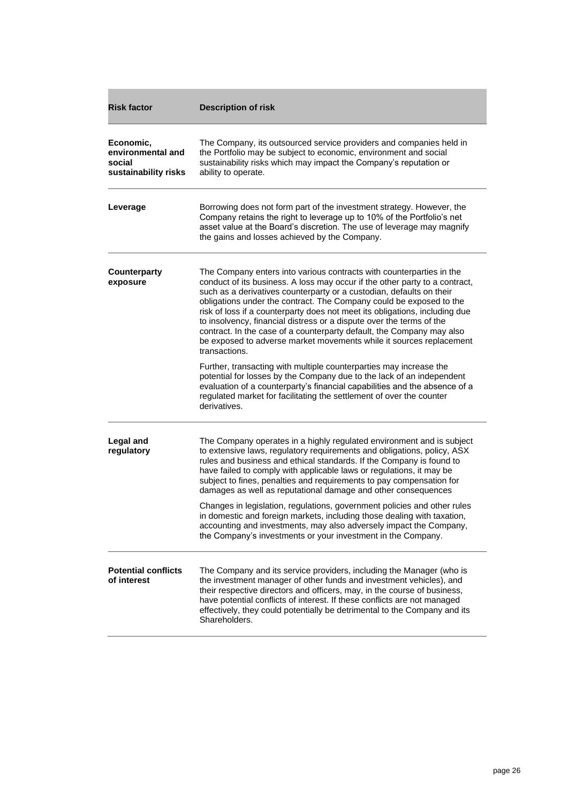| <b>Risk factor</b>                                               | <b>Description of risk</b>                                                                                                                                                                                                                                                                                                                                                                                                                                                                                                                                                                                                 |  |
|------------------------------------------------------------------|----------------------------------------------------------------------------------------------------------------------------------------------------------------------------------------------------------------------------------------------------------------------------------------------------------------------------------------------------------------------------------------------------------------------------------------------------------------------------------------------------------------------------------------------------------------------------------------------------------------------------|--|
| Economic,<br>environmental and<br>social<br>sustainability risks | The Company, its outsourced service providers and companies held in<br>the Portfolio may be subject to economic, environment and social<br>sustainability risks which may impact the Company's reputation or<br>ability to operate.                                                                                                                                                                                                                                                                                                                                                                                        |  |
| Leverage                                                         | Borrowing does not form part of the investment strategy. However, the<br>Company retains the right to leverage up to 10% of the Portfolio's net<br>asset value at the Board's discretion. The use of leverage may magnify<br>the gains and losses achieved by the Company.                                                                                                                                                                                                                                                                                                                                                 |  |
| <b>Counterparty</b><br>exposure                                  | The Company enters into various contracts with counterparties in the<br>conduct of its business. A loss may occur if the other party to a contract,<br>such as a derivatives counterparty or a custodian, defaults on their<br>obligations under the contract. The Company could be exposed to the<br>risk of loss if a counterparty does not meet its obligations, including due<br>to insolvency, financial distress or a dispute over the terms of the<br>contract. In the case of a counterparty default, the Company may also<br>be exposed to adverse market movements while it sources replacement<br>transactions. |  |
|                                                                  | Further, transacting with multiple counterparties may increase the<br>potential for losses by the Company due to the lack of an independent<br>evaluation of a counterparty's financial capabilities and the absence of a<br>regulated market for facilitating the settlement of over the counter<br>derivatives.                                                                                                                                                                                                                                                                                                          |  |
| Legal and<br>regulatory                                          | The Company operates in a highly regulated environment and is subject<br>to extensive laws, regulatory requirements and obligations, policy, ASX<br>rules and business and ethical standards. If the Company is found to<br>have failed to comply with applicable laws or regulations, it may be<br>subject to fines, penalties and requirements to pay compensation for<br>damages as well as reputational damage and other consequences                                                                                                                                                                                  |  |
|                                                                  | Changes in legislation, regulations, government policies and other rules<br>in domestic and foreign markets, including those dealing with taxation,<br>accounting and investments, may also adversely impact the Company,<br>the Company's investments or your investment in the Company.                                                                                                                                                                                                                                                                                                                                  |  |
| <b>Potential conflicts</b><br>of interest                        | The Company and its service providers, including the Manager (who is<br>the investment manager of other funds and investment vehicles), and<br>their respective directors and officers, may, in the course of business,<br>have potential conflicts of interest. If these conflicts are not managed<br>effectively, they could potentially be detrimental to the Company and its<br>Shareholders.                                                                                                                                                                                                                          |  |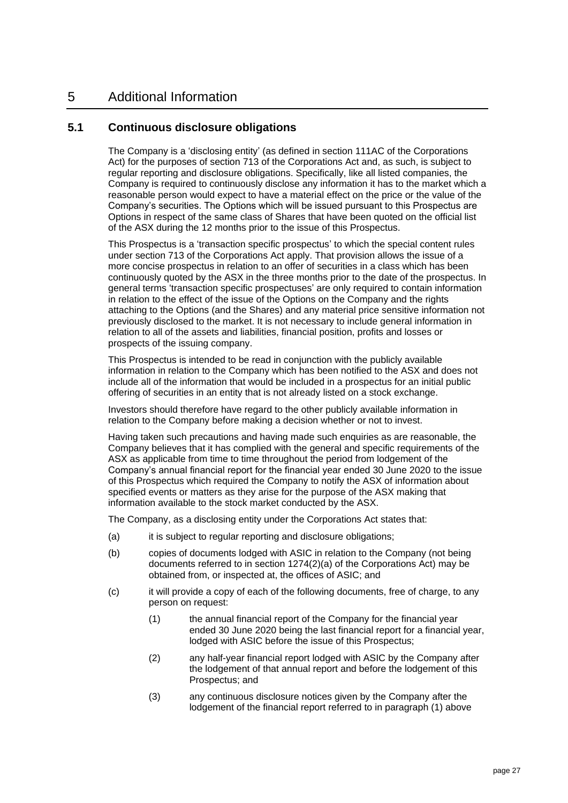# <span id="page-27-0"></span>5 Additional Information

#### <span id="page-27-1"></span>**5.1 Continuous disclosure obligations**

The Company is a 'disclosing entity' (as defined in section 111AC of the Corporations Act) for the purposes of section 713 of the Corporations Act and, as such, is subject to regular reporting and disclosure obligations. Specifically, like all listed companies, the Company is required to continuously disclose any information it has to the market which a reasonable person would expect to have a material effect on the price or the value of the Company's securities. The Options which will be issued pursuant to this Prospectus are Options in respect of the same class of Shares that have been quoted on the official list of the ASX during the 12 months prior to the issue of this Prospectus.

This Prospectus is a 'transaction specific prospectus' to which the special content rules under section 713 of the Corporations Act apply. That provision allows the issue of a more concise prospectus in relation to an offer of securities in a class which has been continuously quoted by the ASX in the three months prior to the date of the prospectus. In general terms 'transaction specific prospectuses' are only required to contain information in relation to the effect of the issue of the Options on the Company and the rights attaching to the Options (and the Shares) and any material price sensitive information not previously disclosed to the market. It is not necessary to include general information in relation to all of the assets and liabilities, financial position, profits and losses or prospects of the issuing company.

This Prospectus is intended to be read in conjunction with the publicly available information in relation to the Company which has been notified to the ASX and does not include all of the information that would be included in a prospectus for an initial public offering of securities in an entity that is not already listed on a stock exchange.

Investors should therefore have regard to the other publicly available information in relation to the Company before making a decision whether or not to invest.

Having taken such precautions and having made such enquiries as are reasonable, the Company believes that it has complied with the general and specific requirements of the ASX as applicable from time to time throughout the period from lodgement of the Company's annual financial report for the financial year ended 30 June 2020 to the issue of this Prospectus which required the Company to notify the ASX of information about specified events or matters as they arise for the purpose of the ASX making that information available to the stock market conducted by the ASX.

The Company, as a disclosing entity under the Corporations Act states that:

- (a) it is subject to regular reporting and disclosure obligations;
- (b) copies of documents lodged with ASIC in relation to the Company (not being documents referred to in section 1274(2)(a) of the Corporations Act) may be obtained from, or inspected at, the offices of ASIC; and
- (c) it will provide a copy of each of the following documents, free of charge, to any person on request:
	- (1) the annual financial report of the Company for the financial year ended 30 June 2020 being the last financial report for a financial year, lodged with ASIC before the issue of this Prospectus;
	- (2) any half-year financial report lodged with ASIC by the Company after the lodgement of that annual report and before the lodgement of this Prospectus; and
	- (3) any continuous disclosure notices given by the Company after the lodgement of the financial report referred to in paragraph (1) above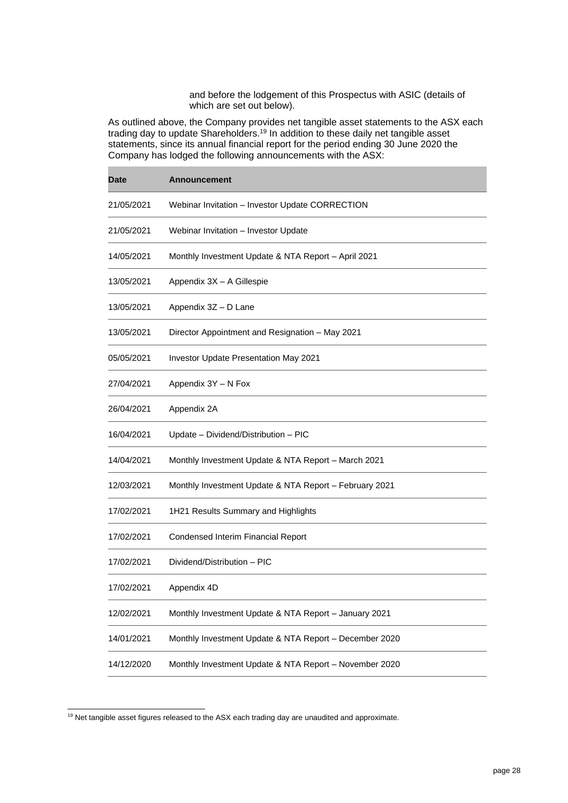and before the lodgement of this Prospectus with ASIC (details of which are set out below).

As outlined above, the Company provides net tangible asset statements to the ASX each trading day to update Shareholders.<sup>19</sup> In addition to these daily net tangible asset statements, since its annual financial report for the period ending 30 June 2020 the Company has lodged the following announcements with the ASX:

ř.

| <b>Date</b> | <b>Announcement</b>                                    |
|-------------|--------------------------------------------------------|
| 21/05/2021  | Webinar Invitation - Investor Update CORRECTION        |
| 21/05/2021  | Webinar Invitation - Investor Update                   |
| 14/05/2021  | Monthly Investment Update & NTA Report - April 2021    |
| 13/05/2021  | Appendix 3X - A Gillespie                              |
| 13/05/2021  | Appendix 3Z - D Lane                                   |
| 13/05/2021  | Director Appointment and Resignation - May 2021        |
| 05/05/2021  | Investor Update Presentation May 2021                  |
| 27/04/2021  | Appendix 3Y - N Fox                                    |
| 26/04/2021  | Appendix 2A                                            |
| 16/04/2021  | Update - Dividend/Distribution - PIC                   |
| 14/04/2021  | Monthly Investment Update & NTA Report - March 2021    |
| 12/03/2021  | Monthly Investment Update & NTA Report - February 2021 |
| 17/02/2021  | 1H21 Results Summary and Highlights                    |
| 17/02/2021  | Condensed Interim Financial Report                     |
| 17/02/2021  | Dividend/Distribution - PIC                            |
| 17/02/2021  | Appendix 4D                                            |
| 12/02/2021  | Monthly Investment Update & NTA Report - January 2021  |
| 14/01/2021  | Monthly Investment Update & NTA Report - December 2020 |
| 14/12/2020  | Monthly Investment Update & NTA Report - November 2020 |

<sup>&</sup>lt;sup>19</sup> Net tangible asset figures released to the ASX each trading day are unaudited and approximate.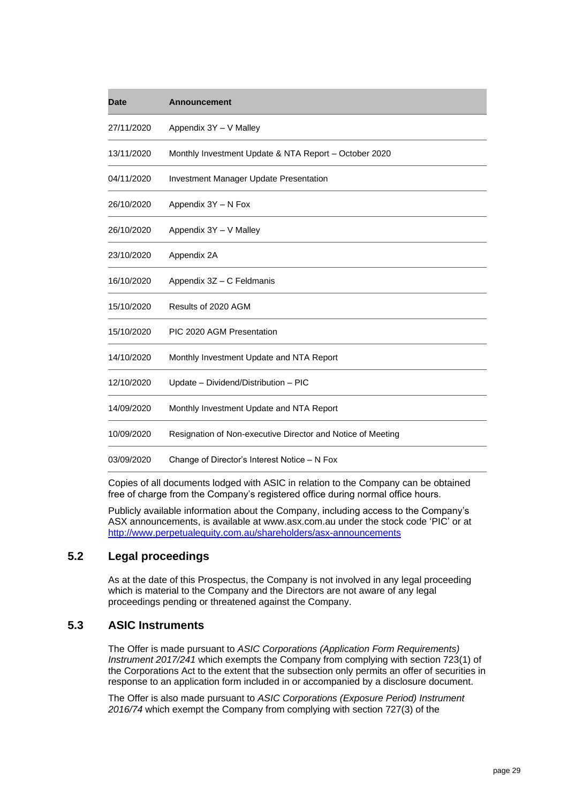| <b>Date</b> | <b>Announcement</b>                                         |
|-------------|-------------------------------------------------------------|
| 27/11/2020  | Appendix 3Y - V Malley                                      |
| 13/11/2020  | Monthly Investment Update & NTA Report - October 2020       |
| 04/11/2020  | <b>Investment Manager Update Presentation</b>               |
| 26/10/2020  | Appendix 3Y - N Fox                                         |
| 26/10/2020  | Appendix 3Y - V Malley                                      |
| 23/10/2020  | Appendix 2A                                                 |
| 16/10/2020  | Appendix 3Z - C Feldmanis                                   |
| 15/10/2020  | Results of 2020 AGM                                         |
| 15/10/2020  | PIC 2020 AGM Presentation                                   |
| 14/10/2020  | Monthly Investment Update and NTA Report                    |
| 12/10/2020  | Update - Dividend/Distribution - PIC                        |
| 14/09/2020  | Monthly Investment Update and NTA Report                    |
| 10/09/2020  | Resignation of Non-executive Director and Notice of Meeting |
| 03/09/2020  | Change of Director's Interest Notice - N Fox                |

Copies of all documents lodged with ASIC in relation to the Company can be obtained free of charge from the Company's registered office during normal office hours.

Publicly available information about the Company, including access to the Company's ASX announcements, is available at [www.asx.com.au](http://www.asx.com.au/) under the stock code 'PIC' or at <http://www.perpetualequity.com.au/shareholders/asx-announcements>

# **5.2 Legal proceedings**

As at the date of this Prospectus, the Company is not involved in any legal proceeding which is material to the Company and the Directors are not aware of any legal proceedings pending or threatened against the Company.

## **5.3 ASIC Instruments**

The Offer is made pursuant to *ASIC Corporations (Application Form Requirements) Instrument 2017/241* which exempts the Company from complying with section 723(1) of the Corporations Act to the extent that the subsection only permits an offer of securities in response to an application form included in or accompanied by a disclosure document.

The Offer is also made pursuant to *ASIC Corporations (Exposure Period) Instrument 2016/74* which exempt the Company from complying with section 727(3) of the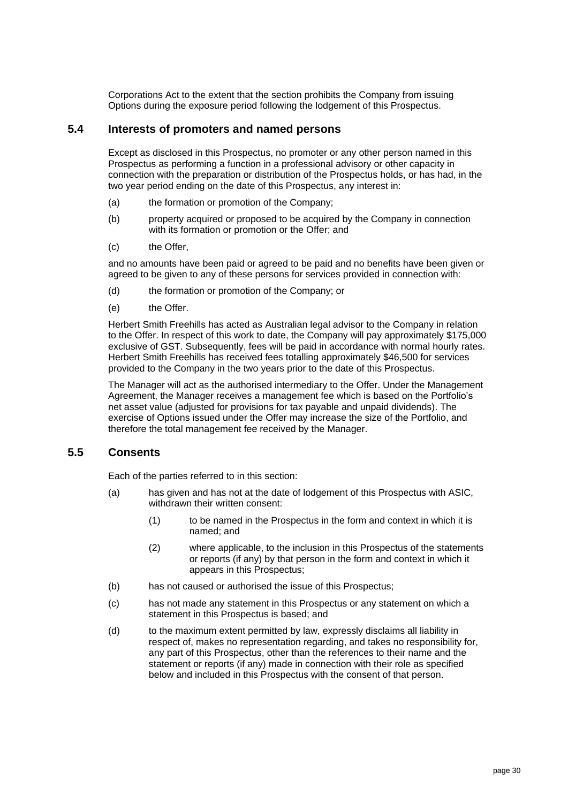Corporations Act to the extent that the section prohibits the Company from issuing Options during the exposure period following the lodgement of this Prospectus.

#### **5.4 Interests of promoters and named persons**

Except as disclosed in this Prospectus, no promoter or any other person named in this Prospectus as performing a function in a professional advisory or other capacity in connection with the preparation or distribution of the Prospectus holds, or has had, in the two year period ending on the date of this Prospectus, any interest in:

- (a) the formation or promotion of the Company;
- (b) property acquired or proposed to be acquired by the Company in connection with its formation or promotion or the Offer: and
- (c) the Offer,

and no amounts have been paid or agreed to be paid and no benefits have been given or agreed to be given to any of these persons for services provided in connection with:

- (d) the formation or promotion of the Company; or
- (e) the Offer.

Herbert Smith Freehills has acted as Australian legal advisor to the Company in relation to the Offer. In respect of this work to date, the Company will pay approximately \$175,000 exclusive of GST. Subsequently, fees will be paid in accordance with normal hourly rates. Herbert Smith Freehills has received fees totalling approximately \$46,500 for services provided to the Company in the two years prior to the date of this Prospectus.

The Manager will act as the authorised intermediary to the Offer. Under the Management Agreement, the Manager receives a management fee which is based on the Portfolio's net asset value (adjusted for provisions for tax payable and unpaid dividends). The exercise of Options issued under the Offer may increase the size of the Portfolio, and therefore the total management fee received by the Manager.

#### **5.5 Consents**

Each of the parties referred to in this section:

- (a) has given and has not at the date of lodgement of this Prospectus with ASIC, withdrawn their written consent:
	- (1) to be named in the Prospectus in the form and context in which it is named; and
	- (2) where applicable, to the inclusion in this Prospectus of the statements or reports (if any) by that person in the form and context in which it appears in this Prospectus;
- (b) has not caused or authorised the issue of this Prospectus;
- (c) has not made any statement in this Prospectus or any statement on which a statement in this Prospectus is based; and
- (d) to the maximum extent permitted by law, expressly disclaims all liability in respect of, makes no representation regarding, and takes no responsibility for, any part of this Prospectus, other than the references to their name and the statement or reports (if any) made in connection with their role as specified below and included in this Prospectus with the consent of that person.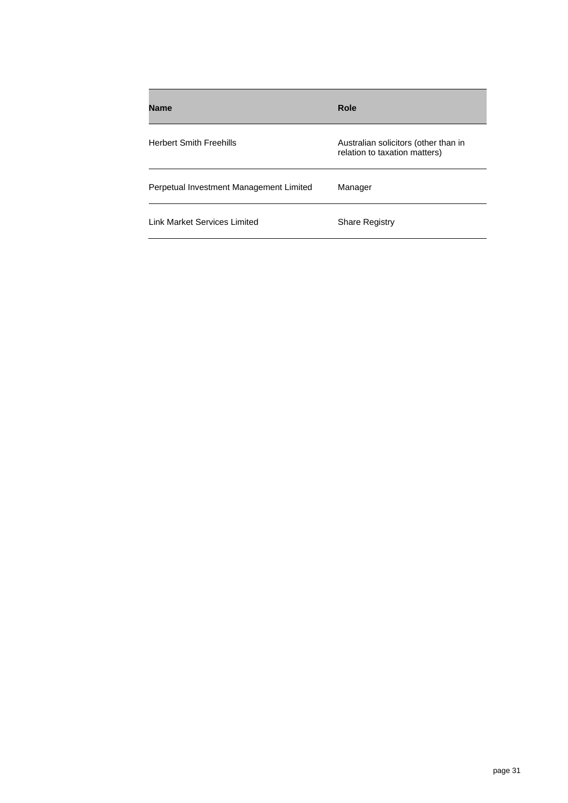| <b>Name</b>                             | Role                                                                  |
|-----------------------------------------|-----------------------------------------------------------------------|
| <b>Herbert Smith Freehills</b>          | Australian solicitors (other than in<br>relation to taxation matters) |
| Perpetual Investment Management Limited | Manager                                                               |
| Link Market Services Limited            | <b>Share Registry</b>                                                 |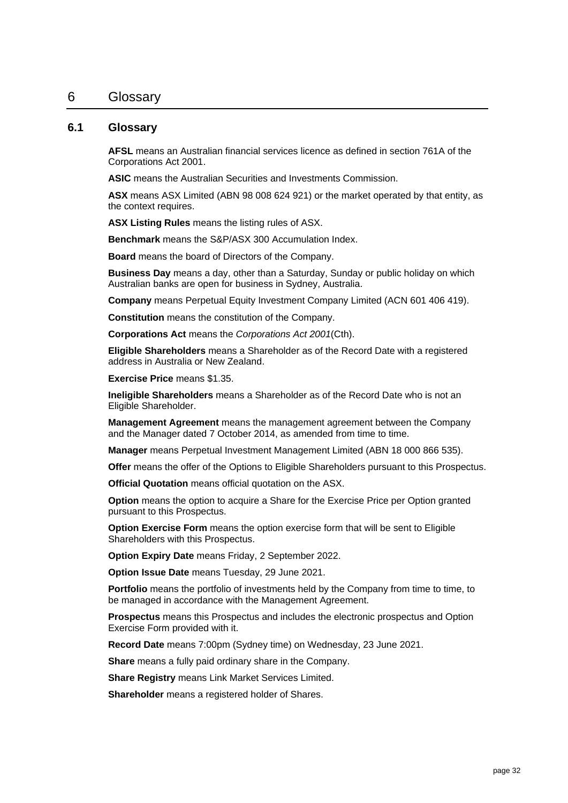#### <span id="page-32-0"></span>6 Glossary

#### **6.1 Glossary**

**AFSL** means an Australian financial services licence as defined in section 761A of the Corporations Act 2001.

**ASIC** means the Australian Securities and Investments Commission.

**ASX** means ASX Limited (ABN 98 008 624 921) or the market operated by that entity, as the context requires.

**ASX Listing Rules** means the listing rules of ASX.

**Benchmark** means the S&P/ASX 300 Accumulation Index.

**Board** means the board of Directors of the Company.

**Business Day** means a day, other than a Saturday, Sunday or public holiday on which Australian banks are open for business in Sydney, Australia.

**Company** means Perpetual Equity Investment Company Limited (ACN 601 406 419).

**Constitution** means the constitution of the Company.

**Corporations Act** means the *Corporations Act 2001*(Cth).

**Eligible Shareholders** means a Shareholder as of the Record Date with a registered address in Australia or New Zealand.

**Exercise Price** means \$1.35.

**Ineligible Shareholders** means a Shareholder as of the Record Date who is not an Eligible Shareholder.

**Management Agreement** means the management agreement between the Company and the Manager dated 7 October 2014, as amended from time to time.

**Manager** means Perpetual Investment Management Limited (ABN 18 000 866 535).

**Offer** means the offer of the Options to Eligible Shareholders pursuant to this Prospectus.

**Official Quotation** means official quotation on the ASX.

**Option** means the option to acquire a Share for the Exercise Price per Option granted pursuant to this Prospectus.

**Option Exercise Form** means the option exercise form that will be sent to Eligible Shareholders with this Prospectus.

**Option Expiry Date** means Friday, 2 September 2022.

**Option Issue Date** means Tuesday, 29 June 2021.

**Portfolio** means the portfolio of investments held by the Company from time to time, to be managed in accordance with the Management Agreement.

**Prospectus** means this Prospectus and includes the electronic prospectus and Option Exercise Form provided with it.

**Record Date** means 7:00pm (Sydney time) on Wednesday, 23 June 2021.

**Share** means a fully paid ordinary share in the Company.

**Share Registry** means Link Market Services Limited.

**Shareholder** means a registered holder of Shares.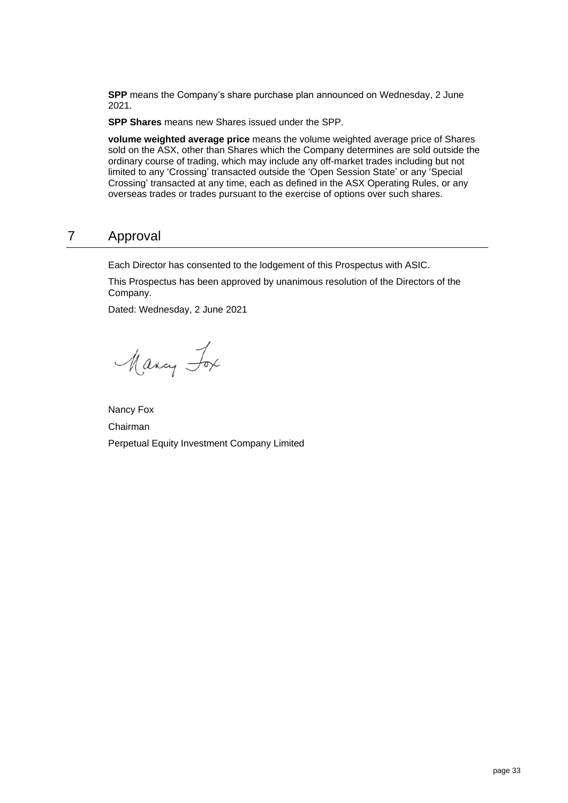**SPP** means the Company's share purchase plan announced on Wednesday, 2 June 2021.

**SPP Shares** means new Shares issued under the SPP.

**volume weighted average price** means the volume weighted average price of Shares sold on the ASX, other than Shares which the Company determines are sold outside the ordinary course of trading, which may include any off-market trades including but not limited to any 'Crossing' transacted outside the 'Open Session State' or any 'Special Crossing' transacted at any time, each as defined in the ASX Operating Rules, or any overseas trades or trades pursuant to the exercise of options over such shares.

# <span id="page-33-0"></span>7 Approval

Each Director has consented to the lodgement of this Prospectus with ASIC.

This Prospectus has been approved by unanimous resolution of the Directors of the Company.

Dated: Wednesday, 2 June 2021

Many Fox

Nancy Fox Chairman Perpetual Equity Investment Company Limited